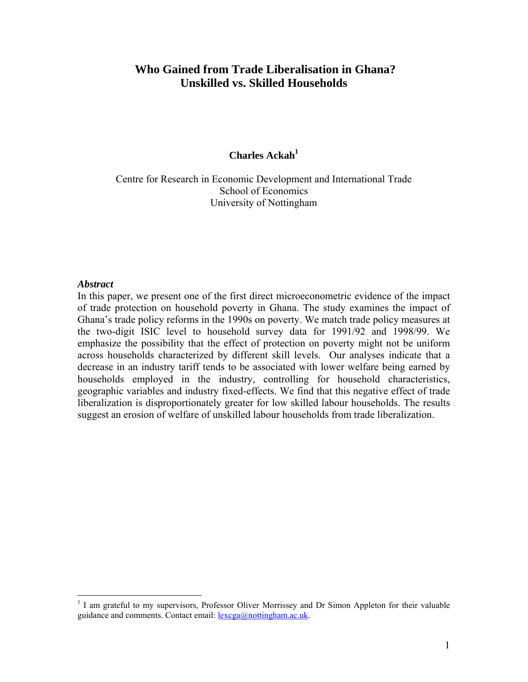# **Who Gained from Trade Liberalisation in Ghana? Unskilled vs. Skilled Households**

# **Charles Ackah**<sup>1</sup>

Centre for Research in Economic Development and International Trade School of Economics University of Nottingham

### *Abstract*

1

In this paper, we present one of the first direct microeconometric evidence of the impact of trade protection on household poverty in Ghana. The study examines the impact of Ghana's trade policy reforms in the 1990s on poverty. We match trade policy measures at the two-digit ISIC level to household survey data for 1991/92 and 1998/99. We emphasize the possibility that the effect of protection on poverty might not be uniform across households characterized by different skill levels. Our analyses indicate that a decrease in an industry tariff tends to be associated with lower welfare being earned by households employed in the industry, controlling for household characteristics, geographic variables and industry fixed-effects. We find that this negative effect of trade liberalization is disproportionately greater for low skilled labour households. The results suggest an erosion of welfare of unskilled labour households from trade liberalization.

<span id="page-0-0"></span><sup>&</sup>lt;sup>1</sup> I am grateful to my supervisors, Professor Oliver Morrissey and Dr Simon Appleton for their valuable guidance and comments. Contact email: lexcga@nottingham.ac.uk.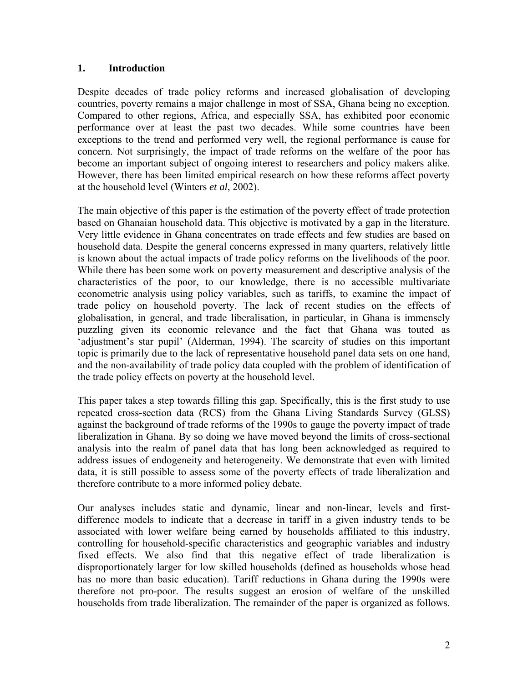# **1. Introduction**

Despite decades of trade policy reforms and increased globalisation of developing countries, poverty remains a major challenge in most of SSA, Ghana being no exception. Compared to other regions, Africa, and especially SSA, has exhibited poor economic performance over at least the past two decades. While some countries have been exceptions to the trend and performed very well, the regional performance is cause for concern. Not surprisingly, the impact of trade reforms on the welfare of the poor has become an important subject of ongoing interest to researchers and policy makers alike. However, there has been limited empirical research on how these reforms affect poverty at the household level (Winters *et al*, 2002).

The main objective of this paper is the estimation of the poverty effect of trade protection based on Ghanaian household data. This objective is motivated by a gap in the literature. Very little evidence in Ghana concentrates on trade effects and few studies are based on household data. Despite the general concerns expressed in many quarters, relatively little is known about the actual impacts of trade policy reforms on the livelihoods of the poor. While there has been some work on poverty measurement and descriptive analysis of the characteristics of the poor, to our knowledge, there is no accessible multivariate econometric analysis using policy variables, such as tariffs, to examine the impact of trade policy on household poverty. The lack of recent studies on the effects of globalisation, in general, and trade liberalisation, in particular, in Ghana is immensely puzzling given its economic relevance and the fact that Ghana was touted as 'adjustment's star pupil' (Alderman, 1994). The scarcity of studies on this important topic is primarily due to the lack of representative household panel data sets on one hand, and the non-availability of trade policy data coupled with the problem of identification of the trade policy effects on poverty at the household level.

This paper takes a step towards filling this gap. Specifically, this is the first study to use repeated cross-section data (RCS) from the Ghana Living Standards Survey (GLSS) against the background of trade reforms of the 1990s to gauge the poverty impact of trade liberalization in Ghana. By so doing we have moved beyond the limits of cross-sectional analysis into the realm of panel data that has long been acknowledged as required to address issues of endogeneity and heterogeneity. We demonstrate that even with limited data, it is still possible to assess some of the poverty effects of trade liberalization and therefore contribute to a more informed policy debate.

Our analyses includes static and dynamic, linear and non-linear, levels and firstdifference models to indicate that a decrease in tariff in a given industry tends to be associated with lower welfare being earned by households affiliated to this industry, controlling for household-specific characteristics and geographic variables and industry fixed effects. We also find that this negative effect of trade liberalization is disproportionately larger for low skilled households (defined as households whose head has no more than basic education). Tariff reductions in Ghana during the 1990s were therefore not pro-poor. The results suggest an erosion of welfare of the unskilled households from trade liberalization. The remainder of the paper is organized as follows.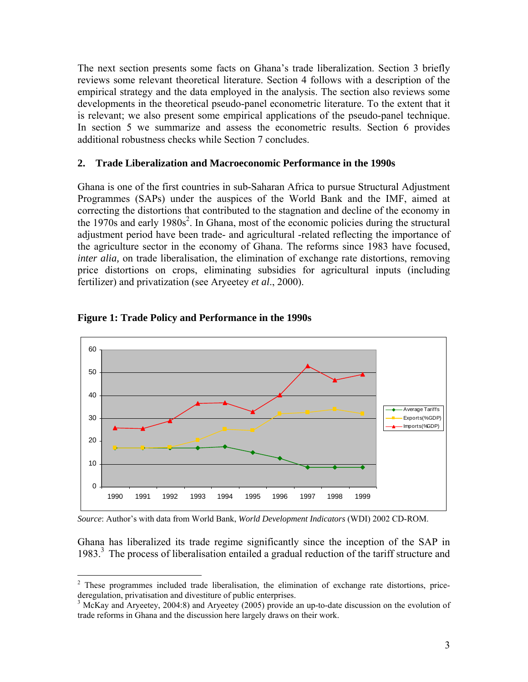The next section presents some facts on Ghana's trade liberalization. Section 3 briefly reviews some relevant theoretical literature. Section 4 follows with a description of the empirical strategy and the data employed in the analysis. The section also reviews some developments in the theoretical pseudo-panel econometric literature. To the extent that it is relevant; we also present some empirical applications of the pseudo-panel technique. In section 5 we summarize and assess the econometric results. Section 6 provides additional robustness checks while Section 7 concludes.

### **2. Trade Liberalization and Macroeconomic Performance in the 1990s**

Ghana is one of the first countries in sub-Saharan Africa to pursue Structural Adjustment Programmes (SAPs) under the auspices of the World Bank and the IMF, aimed at correcting the distortions that contributed to the stagnation and decline of the economy in the 1970s and early 1980s<sup>[2](#page-2-0)</sup>. In Ghana, most of the economic policies during the structural adjustment period have been trade- and agricultural -related reflecting the importance of the agriculture sector in the economy of Ghana. The reforms since 1983 have focused, *inter alia*, on trade liberalisation, the elimination of exchange rate distortions, removing price distortions on crops, eliminating subsidies for agricultural inputs (including fertilizer) and privatization (see Aryeetey *et al*., 2000).



### **Figure 1: Trade Policy and Performance in the 1990s**

 $\overline{a}$ 

*Source*: Author's with data from World Bank, *World Development Indicators* (WDI) 2002 CD-ROM.

Ghana has liberalized its trade regime significantly since the inception of the SAP in 1983.[3](#page-2-1) The process of liberalisation entailed a gradual reduction of the tariff structure and

<span id="page-2-0"></span><sup>&</sup>lt;sup>2</sup> These programmes included trade liberalisation, the elimination of exchange rate distortions, pricederegulation, privatisation and divestiture of public enterprises.

<span id="page-2-1"></span> $3$  McKay and Aryeetey, 2004:8) and Aryeetey (2005) provide an up-to-date discussion on the evolution of trade reforms in Ghana and the discussion here largely draws on their work.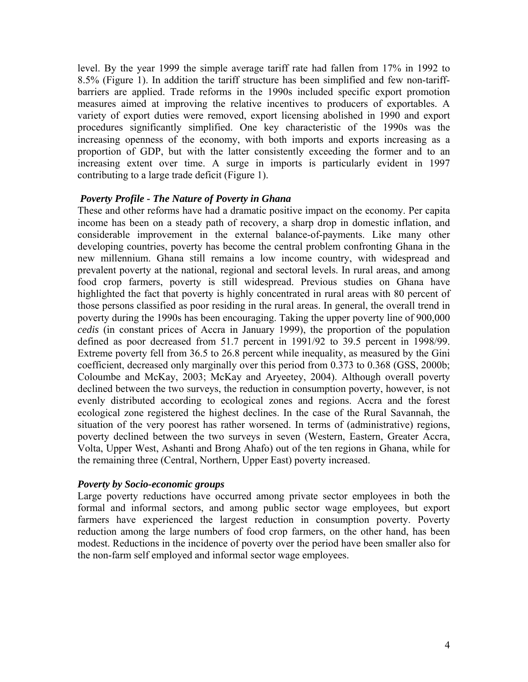level. By the year 1999 the simple average tariff rate had fallen from 17% in 1992 to 8.5% (Figure 1). In addition the tariff structure has been simplified and few non-tariffbarriers are applied. Trade reforms in the 1990s included specific export promotion measures aimed at improving the relative incentives to producers of exportables. A variety of export duties were removed, export licensing abolished in 1990 and export procedures significantly simplified. One key characteristic of the 1990s was the increasing openness of the economy, with both imports and exports increasing as a proportion of GDP, but with the latter consistently exceeding the former and to an increasing extent over time. A surge in imports is particularly evident in 1997 contributing to a large trade deficit (Figure 1).

### *Poverty Profile - The Nature of Poverty in Ghana*

These and other reforms have had a dramatic positive impact on the economy. Per capita income has been on a steady path of recovery, a sharp drop in domestic inflation, and considerable improvement in the external balance-of-payments. Like many other developing countries, poverty has become the central problem confronting Ghana in the new millennium. Ghana still remains a low income country, with widespread and prevalent poverty at the national, regional and sectoral levels. In rural areas, and among food crop farmers, poverty is still widespread. Previous studies on Ghana have highlighted the fact that poverty is highly concentrated in rural areas with 80 percent of those persons classified as poor residing in the rural areas. In general, the overall trend in poverty during the 1990s has been encouraging. Taking the upper poverty line of 900,000 *cedis* (in constant prices of Accra in January 1999), the proportion of the population defined as poor decreased from 51.7 percent in 1991/92 to 39.5 percent in 1998/99. Extreme poverty fell from 36.5 to 26.8 percent while inequality, as measured by the Gini coefficient, decreased only marginally over this period from 0.373 to 0.368 (GSS, 2000b; Coloumbe and McKay, 2003; McKay and Aryeetey, 2004). Although overall poverty declined between the two surveys, the reduction in consumption poverty, however, is not evenly distributed according to ecological zones and regions. Accra and the forest ecological zone registered the highest declines. In the case of the Rural Savannah, the situation of the very poorest has rather worsened. In terms of (administrative) regions, poverty declined between the two surveys in seven (Western, Eastern, Greater Accra, Volta, Upper West, Ashanti and Brong Ahafo) out of the ten regions in Ghana, while for the remaining three (Central, Northern, Upper East) poverty increased.

### *Poverty by Socio-economic groups*

Large poverty reductions have occurred among private sector employees in both the formal and informal sectors, and among public sector wage employees, but export farmers have experienced the largest reduction in consumption poverty. Poverty reduction among the large numbers of food crop farmers, on the other hand, has been modest. Reductions in the incidence of poverty over the period have been smaller also for the non-farm self employed and informal sector wage employees.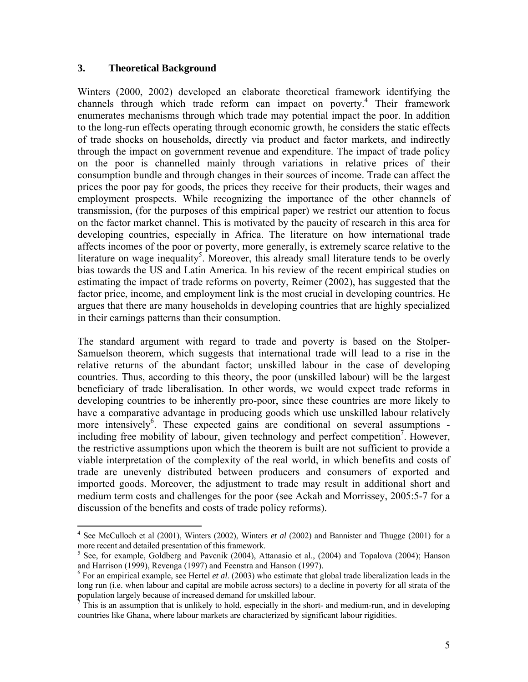### **3. Theoretical Background**

 $\overline{a}$ 

Winters (2000, 2002) developed an elaborate theoretical framework identifying the channels through which trade reform can impact on poverty.<sup>[4](#page-4-0)</sup> Their framework enumerates mechanisms through which trade may potential impact the poor. In addition to the long-run effects operating through economic growth, he considers the static effects of trade shocks on households, directly via product and factor markets, and indirectly through the impact on government revenue and expenditure. The impact of trade policy on the poor is channelled mainly through variations in relative prices of their consumption bundle and through changes in their sources of income. Trade can affect the prices the poor pay for goods, the prices they receive for their products, their wages and employment prospects. While recognizing the importance of the other channels of transmission, (for the purposes of this empirical paper) we restrict our attention to focus on the factor market channel. This is motivated by the paucity of research in this area for developing countries, especially in Africa. The literature on how international trade affects incomes of the poor or poverty, more generally, is extremely scarce relative to the literature on wage inequality<sup>5</sup>. Moreover, this already small literature tends to be overly bias towards the US and Latin America. In his review of the recent empirical studies on estimating the impact of trade reforms on poverty, Reimer (2002), has suggested that the factor price, income, and employment link is the most crucial in developing countries. He argues that there are many households in developing countries that are highly specialized in their earnings patterns than their consumption.

The standard argument with regard to trade and poverty is based on the Stolper-Samuelson theorem, which suggests that international trade will lead to a rise in the relative returns of the abundant factor; unskilled labour in the case of developing countries. Thus, according to this theory, the poor (unskilled labour) will be the largest beneficiary of trade liberalisation. In other words, we would expect trade reforms in developing countries to be inherently pro-poor, since these countries are more likely to have a comparative advantage in producing goods which use unskilled labour relatively more intensively<sup>[6](#page-4-2)</sup>. These expected gains are conditional on several assumptions -including free mobility of labour, given technology and perfect competition<sup>[7](#page-4-3)</sup>. However, the restrictive assumptions upon which the theorem is built are not sufficient to provide a viable interpretation of the complexity of the real world, in which benefits and costs of trade are unevenly distributed between producers and consumers of exported and imported goods. Moreover, the adjustment to trade may result in additional short and medium term costs and challenges for the poor (see Ackah and Morrissey, 2005:5-7 for a discussion of the benefits and costs of trade policy reforms).

<span id="page-4-0"></span><sup>&</sup>lt;sup>4</sup> See McCulloch et al (2001), Winters (2002), Winters *et al* (2002) and Bannister and Thugge (2001) for a more recent and detailed presentation of this framework.

<span id="page-4-1"></span><sup>&</sup>lt;sup>5</sup> See, for example, Goldberg and Pavcnik (2004), Attanasio et al., (2004) and Topalova (2004); Hanson and Harrison (1999), Revenga (1997) and Feenstra and Hanson (1997).

<span id="page-4-2"></span>For an empirical example, see Hertel *et al*. (2003) who estimate that global trade liberalization leads in the long run (i.e. when labour and capital are mobile across sectors) to a decline in poverty for all strata of the population largely because of increased demand for unskilled labour. 7

<span id="page-4-3"></span>This is an assumption that is unlikely to hold, especially in the short- and medium-run, and in developing countries like Ghana, where labour markets are characterized by significant labour rigidities.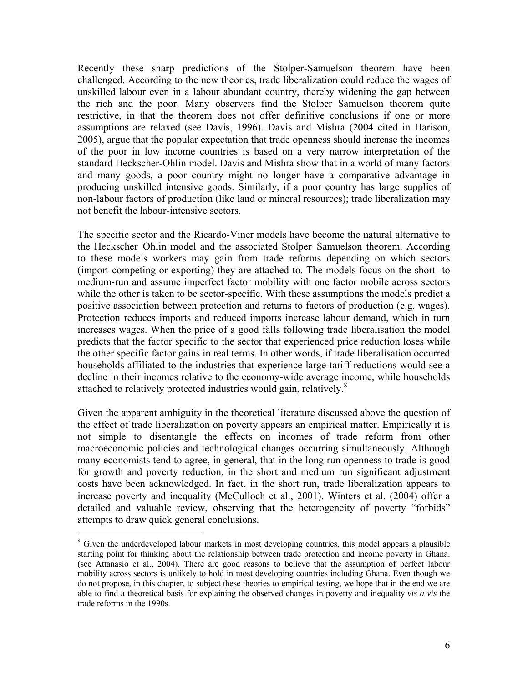Recently these sharp predictions of the Stolper-Samuelson theorem have been challenged. According to the new theories, trade liberalization could reduce the wages of unskilled labour even in a labour abundant country, thereby widening the gap between the rich and the poor. Many observers find the Stolper Samuelson theorem quite restrictive, in that the theorem does not offer definitive conclusions if one or more assumptions are relaxed (see Davis, 1996). Davis and Mishra (2004 cited in Harison, 2005), argue that the popular expectation that trade openness should increase the incomes of the poor in low income countries is based on a very narrow interpretation of the standard Heckscher-Ohlin model. Davis and Mishra show that in a world of many factors and many goods, a poor country might no longer have a comparative advantage in producing unskilled intensive goods. Similarly, if a poor country has large supplies of non-labour factors of production (like land or mineral resources); trade liberalization may not benefit the labour-intensive sectors.

The specific sector and the Ricardo-Viner models have become the natural alternative to the Heckscher–Ohlin model and the associated Stolper–Samuelson theorem. According to these models workers may gain from trade reforms depending on which sectors (import-competing or exporting) they are attached to. The models focus on the short- to medium-run and assume imperfect factor mobility with one factor mobile across sectors while the other is taken to be sector-specific. With these assumptions the models predict a positive association between protection and returns to factors of production (e.g. wages). Protection reduces imports and reduced imports increase labour demand, which in turn increases wages. When the price of a good falls following trade liberalisation the model predicts that the factor specific to the sector that experienced price reduction loses while the other specific factor gains in real terms. In other words, if trade liberalisation occurred households affiliated to the industries that experience large tariff reductions would see a decline in their incomes relative to the economy-wide average income, while households attached to relatively protected industries would gain, relatively.<sup>[8](#page-5-0)</sup>

Given the apparent ambiguity in the theoretical literature discussed above the question of the effect of trade liberalization on poverty appears an empirical matter. Empirically it is not simple to disentangle the effects on incomes of trade reform from other macroeconomic policies and technological changes occurring simultaneously. Although many economists tend to agree, in general, that in the long run openness to trade is good for growth and poverty reduction, in the short and medium run significant adjustment costs have been acknowledged. In fact, in the short run, trade liberalization appears to increase poverty and inequality (McCulloch et al., 2001). Winters et al. (2004) offer a detailed and valuable review, observing that the heterogeneity of poverty "forbids" attempts to draw quick general conclusions.

 $\overline{a}$ 

<span id="page-5-0"></span><sup>&</sup>lt;sup>8</sup> Given the underdeveloped labour markets in most developing countries, this model appears a plausible starting point for thinking about the relationship between trade protection and income poverty in Ghana. (see Attanasio et al., 2004). There are good reasons to believe that the assumption of perfect labour mobility across sectors is unlikely to hold in most developing countries including Ghana. Even though we do not propose, in this chapter, to subject these theories to empirical testing, we hope that in the end we are able to find a theoretical basis for explaining the observed changes in poverty and inequality *vis a vis* the trade reforms in the 1990s.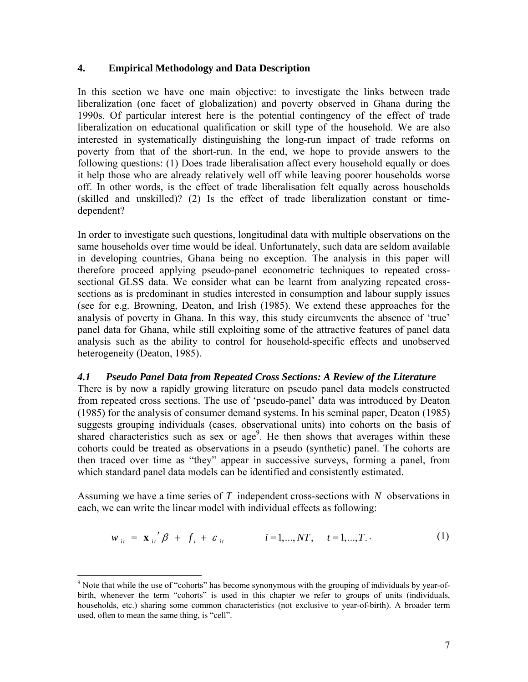### **4. Empirical Methodology and Data Description**

In this section we have one main objective: to investigate the links between trade liberalization (one facet of globalization) and poverty observed in Ghana during the 1990s. Of particular interest here is the potential contingency of the effect of trade liberalization on educational qualification or skill type of the household. We are also interested in systematically distinguishing the long-run impact of trade reforms on poverty from that of the short-run. In the end, we hope to provide answers to the following questions: (1) Does trade liberalisation affect every household equally or does it help those who are already relatively well off while leaving poorer households worse off. In other words, is the effect of trade liberalisation felt equally across households (skilled and unskilled)? (2) Is the effect of trade liberalization constant or timedependent?

In order to investigate such questions, longitudinal data with multiple observations on the same households over time would be ideal. Unfortunately, such data are seldom available in developing countries, Ghana being no exception. The analysis in this paper will therefore proceed applying pseudo-panel econometric techniques to repeated crosssectional GLSS data. We consider what can be learnt from analyzing repeated crosssections as is predominant in studies interested in consumption and labour supply issues (see for e.g. Browning, Deaton, and Irish (1985). We extend these approaches for the analysis of poverty in Ghana. In this way, this study circumvents the absence of 'true' panel data for Ghana, while still exploiting some of the attractive features of panel data analysis such as the ability to control for household-specific effects and unobserved heterogeneity (Deaton, 1985).

### *4.1 Pseudo Panel Data from Repeated Cross Sections: A Review of the Literature*

There is by now a rapidly growing literature on pseudo panel data models constructed from repeated cross sections. The use of 'pseudo-panel' data was introduced by Deaton (1985) for the analysis of consumer demand systems. In his seminal paper, Deaton (1985) suggests grouping individuals (cases, observational units) into cohorts on the basis of shared characteristics such as sex or  $age<sup>9</sup>$ . He then shows that averages within these cohorts could be treated as observations in a pseudo (synthetic) panel. The cohorts are then traced over time as "they" appear in successive surveys, forming a panel, from which standard panel data models can be identified and consistently estimated.

Assuming we have a time series of *T* independent cross-sections with *N* observations in each, we can write the linear model with individual effects as following:

$$
w_{it} = \mathbf{x}_{it}^{'} \boldsymbol{\beta} + f_i + \varepsilon_{it} \qquad i = 1,...,NT, \quad t = 1,...,T.
$$
 (1)

<u>.</u>

<span id="page-6-0"></span><sup>&</sup>lt;sup>9</sup> Note that while the use of "cohorts" has become synonymous with the grouping of individuals by year-ofbirth, whenever the term "cohorts" is used in this chapter we refer to groups of units (individuals, households, etc.) sharing some common characteristics (not exclusive to year-of-birth). A broader term used, often to mean the same thing, is "cell".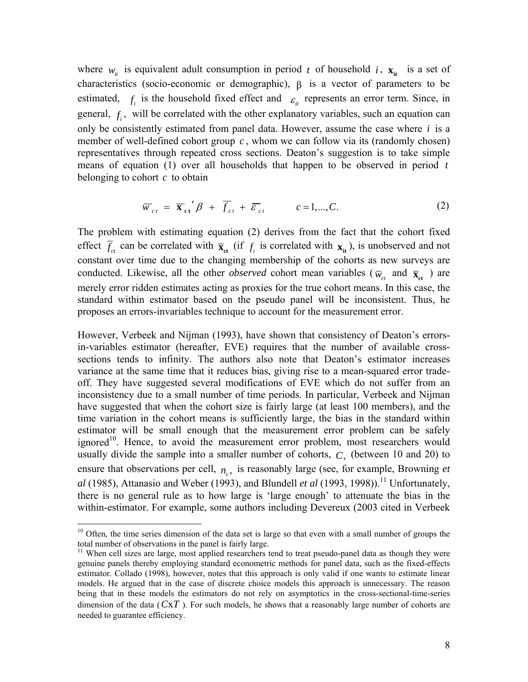where  $w_{it}$  is equivalent adult consumption in period *t* of household *i*,  $\mathbf{x}_{it}$  is a set of characteristics (socio-economic or demographic),  $\beta$  is a vector of parameters to be estimated,  $f_i$  is the household fixed effect and  $\epsilon_i$  represents an error term. Since, in general,  $f_i$ , will be correlated with the other explanatory variables, such an equation can only be consistently estimated from panel data. However, assume the case where  $i$  is a member of well-defined cohort group  $c$ , whom we can follow via its (randomly chosen) representatives through repeated cross sections. Deaton's suggestion is to take simple means of equation (1) over all households that happen to be observed in period *t* belonging to cohort *c* to obtain

$$
\overline{w}_{ct} = \overline{\mathbf{x}}_{ct}^{\prime} \beta + \overline{f}_{ct} + \overline{\varepsilon}_{ct} \qquad c = 1, ..., C.
$$
 (2)

The problem with estimating equation (2) derives from the fact that the cohort fixed effect  $\overline{f}_c$  can be correlated with  $\overline{\mathbf{x}}_{ct}$  (if  $f_i$  is correlated with  $\mathbf{x}_{it}$ ), is unobserved and not constant over time due to the changing membership of the cohorts as new surveys are conducted. Likewise, all the other *observed* cohort mean variables ( $\overline{w}_{ct}$  and  $\overline{\mathbf{x}}_{ct}$ ) are merely error ridden estimates acting as proxies for the true cohort means. In this case, the standard within estimator based on the pseudo panel will be inconsistent. Thus, he proposes an errors-invariables technique to account for the measurement error.

However, Verbeek and Nijman (1993), have shown that consistency of Deaton's errorsin-variables estimator (hereafter, EVE) requires that the number of available crosssections tends to infinity. The authors also note that Deaton's estimator increases variance at the same time that it reduces bias, giving rise to a mean-squared error tradeoff. They have suggested several modifications of EVE which do not suffer from an inconsistency due to a small number of time periods. In particular, Verbeek and Nijman have suggested that when the cohort size is fairly large (at least 100 members), and the time variation in the cohort means is sufficiently large, the bias in the standard within estimator will be small enough that the measurement error problem can be safely ignored<sup>10</sup>. Hence, to avoid the measurement error problem, most researchers would usually divide the sample into a smaller number of cohorts,  $C<sub>z</sub>$ , (between 10 and 20) to ensure that observations per cell,  $n_c$ , is reasonably large (see, for example, Browning *et*  $al$  (1985), Attanasio and Weber (1993), and Blundell *et al* (1993, 1998)).<sup>11</sup> Unfortunately, there is no general rule as to how large is 'large enough' to attenuate the bias in the within-estimator. For example, some authors including Devereux (2003 cited in Verbeek

<span id="page-7-0"></span> $10$  Often, the time series dimension of the data set is large so that even with a small number of groups the total number of observations in the panel is fairly large.

<span id="page-7-1"></span><sup>&</sup>lt;sup>11</sup> When cell sizes are large, most applied researchers tend to treat pseudo-panel data as though they were genuine panels thereby employing standard econometric methods for panel data, such as the fixed-effects estimator. Collado (1998), however, notes that this approach is only valid if one wants to estimate linear models. He argued that in the case of discrete choice models this approach is unnecessary. The reason being that in these models the estimators do not rely on asymptotics in the cross-sectional-time-series dimension of the data  $(CxT)$ . For such models, he shows that a reasonably large number of cohorts are needed to guarantee efficiency.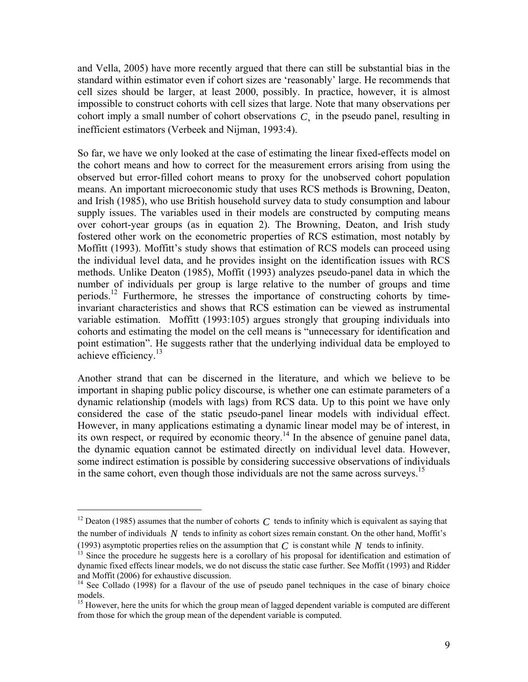and Vella, 2005) have more recently argued that there can still be substantial bias in the standard within estimator even if cohort sizes are 'reasonably' large. He recommends that cell sizes should be larger, at least 2000, possibly. In practice, however, it is almost impossible to construct cohorts with cell sizes that large. Note that many observations per cohort imply a small number of cohort observations  $C$ , in the pseudo panel, resulting in inefficient estimators (Verbeek and Nijman, 1993:4).

So far, we have we only looked at the case of estimating the linear fixed-effects model on the cohort means and how to correct for the measurement errors arising from using the observed but error-filled cohort means to proxy for the unobserved cohort population means. An important microeconomic study that uses RCS methods is Browning, Deaton, and Irish (1985), who use British household survey data to study consumption and labour supply issues. The variables used in their models are constructed by computing means over cohort-year groups (as in equation 2). The Browning, Deaton, and Irish study fostered other work on the econometric properties of RCS estimation, most notably by Moffitt (1993). Moffitt's study shows that estimation of RCS models can proceed using the individual level data, and he provides insight on the identification issues with RCS methods. Unlike Deaton (1985), Moffit (1993) analyzes pseudo-panel data in which the number of individuals per group is large relative to the number of groups and time periods[.12](#page-8-0) Furthermore, he stresses the importance of constructing cohorts by timeinvariant characteristics and shows that RCS estimation can be viewed as instrumental variable estimation. Moffitt (1993:105) argues strongly that grouping individuals into cohorts and estimating the model on the cell means is "unnecessary for identification and point estimation". He suggests rather that the underlying individual data be employed to achieve efficiency.<sup>[13](#page-8-1)</sup>

Another strand that can be discerned in the literature, and which we believe to be important in shaping public policy discourse, is whether one can estimate parameters of a dynamic relationship (models with lags) from RCS data. Up to this point we have only considered the case of the static pseudo-panel linear models with individual effect. However, in many applications estimating a dynamic linear model may be of interest, in its own respect, or required by economic theory. [14](#page-8-2) In the absence of genuine panel data, the dynamic equation cannot be estimated directly on individual level data. However, some indirect estimation is possible by considering successive observations of individuals in the same cohort, even though those individuals are not the same across surveys.<sup>15</sup>

<span id="page-8-0"></span><sup>&</sup>lt;sup>12</sup> Deaton (1985) assumes that the number of cohorts  $C$  tends to infinity which is equivalent as saying that the number of individuals  $N$  tends to infinity as cohort sizes remain constant. On the other hand, Moffit's

<sup>(1993)</sup> asymptotic properties relies on the assumption that  $C$  is constant while  $N$  tends to infinity.

<span id="page-8-1"></span><sup>&</sup>lt;sup>13</sup> Since the procedure he suggests here is a corollary of his proposal for identification and estimation of dynamic fixed effects linear models, we do not discuss the static case further. See Moffit (1993) and Ridder

<span id="page-8-2"></span> $14$  See Collado (1998) for a flavour of the use of pseudo panel techniques in the case of binary choice models.

<span id="page-8-3"></span> $15$  However, here the units for which the group mean of lagged dependent variable is computed are different from those for which the group mean of the dependent variable is computed.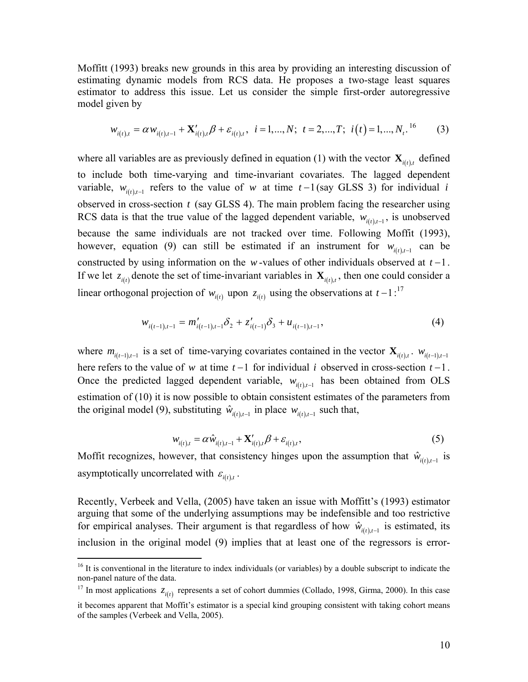Moffitt (1993) breaks new grounds in this area by providing an interesting discussion of estimating dynamic models from RCS data. He proposes a two-stage least squares estimator to address this issue. Let us consider the simple first-order autoregressive model given by

$$
w_{i(t),t} = \alpha w_{i(t),t-1} + \mathbf{X}'_{i(t),t} \beta + \varepsilon_{i(t),t}, \quad i = 1,...,N; \quad t = 2,...,T; \quad i(t) = 1,...,N_t. \tag{3}
$$

where all variables are as previously defined in equation (1) with the vector  $\mathbf{X}_{i(t),t}$  defined to include both time-varying and time-invariant covariates. The lagged dependent variable,  $w_{i(t), t-1}$  refers to the value of w at time  $t-1$  (say GLSS 3) for individual *i* observed in cross-section  $t$  (say GLSS 4). The main problem facing the researcher using RCS data is that the true value of the lagged dependent variable,  $w_{i(t), t-1}$ , is unobserved because the same individuals are not tracked over time. Following Moffit (1993), however, equation (9) can still be estimated if an instrument for  $w_{i(t),t-1}$  can be constructed by using information on the  $w$ -values of other individuals observed at  $t-1$ . If we let  $z_{i(t)}$  denote the set of time-invariant variables in  $\mathbf{X}_{i(t),t}$ , then one could consider a linear orthogonal projection of  $w_{i(t)}$  upon  $z_{i(t)}$  using the observations at  $t-1$ :<sup>[17](#page-9-1)</sup>

$$
w_{i(t-1),t-1} = m'_{i(t-1),t-1} \delta_2 + z'_{i(t-1)} \delta_3 + u_{i(t-1),t-1},
$$
\n<sup>(4)</sup>

where  $m_{i(t-1),t-1}$  is a set of time-varying covariates contained in the vector  $\mathbf{X}_{i(t),t}$ .  $w_{i(t-1),t-1}$ here refers to the value of *w* at time *t* −1 for individual *i* observed in cross-section *t* −1. Once the predicted lagged dependent variable,  $w_{i(t),t-1}$  has been obtained from OLS estimation of  $(10)$  it is now possible to obtain consistent estimates of the parameters from the original model (9), substituting  $\hat{w}_{i(t), t-1}$  in place  $w_{i(t), t-1}$  such that,

$$
w_{i(t),t} = \alpha \hat{w}_{i(t),t-1} + \mathbf{X}'_{i(t),t} \beta + \varepsilon_{i(t),t},
$$
\n(5)

Moffit recognizes, however, that consistency hinges upon the assumption that  $\hat{w}_{i(t), t-1}$  is asymptotically uncorrelated with  $\varepsilon_{i(t),t}$ .

Recently, Verbeek and Vella, (2005) have taken an issue with Moffitt's (1993) estimator arguing that some of the underlying assumptions may be indefensible and too restrictive for empirical analyses. Their argument is that regardless of how  $\hat{w}_{i(t), t-1}$  is estimated, its inclusion in the original model (9) implies that at least one of the regressors is error-

 $\overline{a}$ 

<span id="page-9-0"></span><sup>&</sup>lt;sup>16</sup> It is conventional in the literature to index individuals (or variables) by a double subscript to indicate the non-panel nature of the data.<br><sup>17</sup> In most applications  $z_{i(t)}$  represents a set of cohort dummies (Collado, 1998, Girma, 2000). In this case

<span id="page-9-1"></span>

it becomes apparent that Moffit's estimator is a special kind grouping consistent with taking cohort means of the samples (Verbeek and Vella, 2005).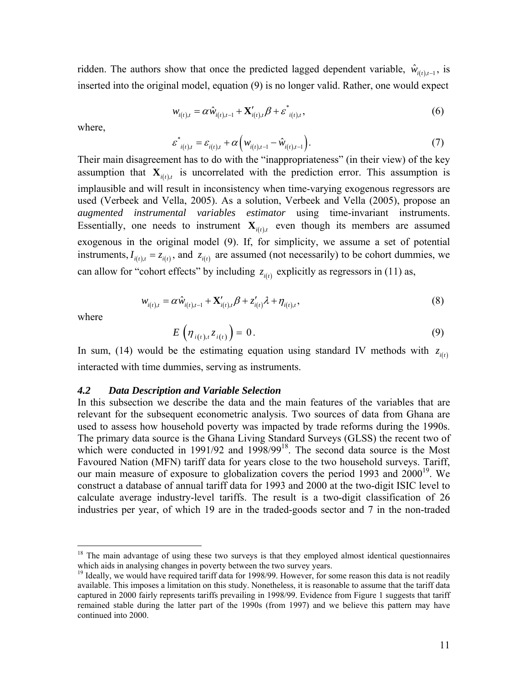ridden. The authors show that once the predicted lagged dependent variable,  $\hat{w}_{i(t), t-1}$ , is inserted into the original model, equation (9) is no longer valid. Rather, one would expect

$$
w_{i(t),t} = \alpha \hat{w}_{i(t),t-1} + \mathbf{X}'_{i(t),t} \beta + \varepsilon^*_{i(t),t},
$$
\n(6)

where,

$$
\varepsilon_{i(t),t}^* = \varepsilon_{i(t),t} + \alpha \Big( w_{i(t),t-1} - \hat{w}_{i(t),t-1} \Big). \tag{7}
$$

Their main disagreement has to do with the "inappropriateness" (in their view) of the key assumption that  $\mathbf{X}_{i(t),t}$  is uncorrelated with the prediction error. This assumption is implausible and will result in inconsistency when time-varying exogenous regressors are used (Verbeek and Vella, 2005). As a solution, Verbeek and Vella (2005), propose an *augmented instrumental variables estimator* using time-invariant instruments. Essentially, one needs to instrument  $\mathbf{X}_{i(t), t}$  even though its members are assumed exogenous in the original model  $(9)$ . If, for simplicity, we assume a set of potential instruments,  $I_{i(t),t} = z_{i(t)}$ , and  $z_{i(t)}$  are assumed (not necessarily) to be cohort dummies, we can allow for "cohort effects" by including  $z_{i(t)}$  explicitly as regressors in (11) as,

$$
w_{i(t),t} = \alpha \hat{w}_{i(t),t-1} + \mathbf{X}'_{i(t),t} \beta + z'_{i(t)} \lambda + \eta_{i(t),t},
$$
\n(8)

where

<u>.</u>

$$
E\left(\eta_{i(t),t}z_{i(t)}\right)=0.
$$
\n(9)

In sum, (14) would be the estimating equation using standard IV methods with  $z_{i(t)}$ interacted with time dummies, serving as instruments.

#### *.2 Data Description and Variable Selection 4*

In this subsection we describe the data and the main features of the variables that are relevant for the subsequent econometric analysis. Two sources of data from Ghana are used to assess how household poverty was impacted by trade reforms during the 1990s. The primary data source is the Ghana Living Standard Surveys (GLSS) the recent two of which were conducted in 1991/92 and 1998/99<sup>18</sup>. The second data source is the Most Favoured Nation (MFN) tariff data for years close to the two household surveys. Tariff, our main measure of exposure to globalization covers the period 1993 and  $2000^{19}$ . We construct a database of annual tariff data for 1993 and 2000 at the two-digit ISIC level to calculate average industry-level tariffs. The result is a two-digit classification of 26 industries per year, of which 19 are in the traded-goods sector and 7 in the non-traded

<span id="page-10-0"></span> $18$  The main advantage of using these two surveys is that they employed almost identical questionnaires which aids in analysing changes in poverty between the two survey years.<br><sup>19</sup> Ideally, we would have required tariff data for 1998/99. However, for some reason this data is not readily

<span id="page-10-1"></span>available. This imposes a limitation on this study. Nonetheless, it is reasonable to assume that the tariff data captured in 2000 fairly represents tariffs prevailing in 1998/99. Evidence from Figure 1 suggests that tariff remained stable during the latter part of the 1990s (from 1997) and we believe this pattern may have continued into 2000.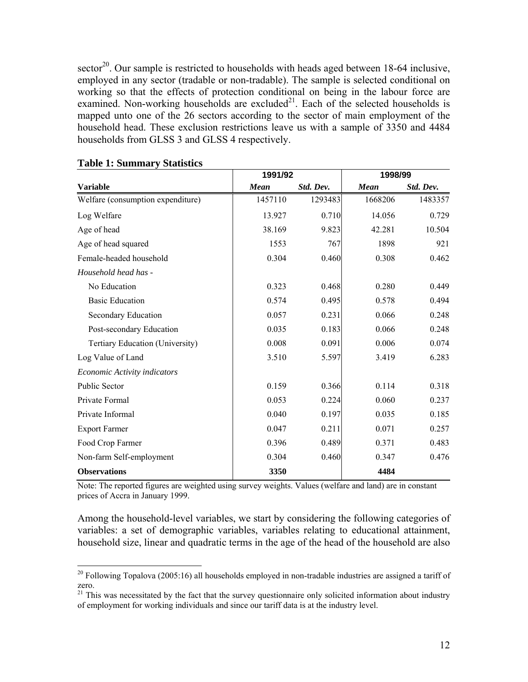sector<sup>20</sup>. Our sample is restricted to households with heads aged between 18-64 inclusive, employed in any sector (tradable or non-tradable). The sample is selected conditional on working so that the effects of protection conditional on being in the labour force are examined. Non-working households are excluded $^{21}$ . Each of the selected households is mapped unto one of the 26 sectors according to the sector of main employment of the household head. These exclusion restrictions leave us with a sample of 3350 and 4484 households from GLSS 3 and GLSS 4 respectively.

|                                   | 1991/92     |           | 1998/99     |           |
|-----------------------------------|-------------|-----------|-------------|-----------|
| <b>Variable</b>                   | <b>Mean</b> | Std. Dev. | <b>Mean</b> | Std. Dev. |
| Welfare (consumption expenditure) | 1457110     | 1293483   | 1668206     | 1483357   |
| Log Welfare                       | 13.927      | 0.710     | 14.056      | 0.729     |
| Age of head                       | 38.169      | 9.823     | 42.281      | 10.504    |
| Age of head squared               | 1553        | 767       | 1898        | 921       |
| Female-headed household           | 0.304       | 0.460     | 0.308       | 0.462     |
| Household head has -              |             |           |             |           |
| No Education                      | 0.323       | 0.468     | 0.280       | 0.449     |
| <b>Basic Education</b>            | 0.574       | 0.495     | 0.578       | 0.494     |
| Secondary Education               | 0.057       | 0.231     | 0.066       | 0.248     |
| Post-secondary Education          | 0.035       | 0.183     | 0.066       | 0.248     |
| Tertiary Education (University)   | 0.008       | 0.091     | 0.006       | 0.074     |
| Log Value of Land                 | 3.510       | 5.597     | 3.419       | 6.283     |
| Economic Activity indicators      |             |           |             |           |
| <b>Public Sector</b>              | 0.159       | 0.366     | 0.114       | 0.318     |
| Private Formal                    | 0.053       | 0.224     | 0.060       | 0.237     |
| Private Informal                  | 0.040       | 0.197     | 0.035       | 0.185     |
| <b>Export Farmer</b>              | 0.047       | 0.211     | 0.071       | 0.257     |
| Food Crop Farmer                  | 0.396       | 0.489     | 0.371       | 0.483     |
| Non-farm Self-employment          | 0.304       | 0.460     | 0.347       | 0.476     |
| <b>Observations</b>               | 3350        |           | 4484        |           |

### **Table 1: Summary Statistics**

Note: The reported figures are weighted using survey weights. Values (welfare and land) are in constant prices of Accra in January 1999.

Among the household-level variables, we start by considering the following categories of variables: a set of demographic variables, variables relating to educational attainment, household size, linear and quadratic terms in the age of the head of the household are also

<span id="page-11-0"></span> $20$  Following Topalova (2005:16) all households employed in non-tradable industries are assigned a tariff of zero.

<span id="page-11-1"></span><sup>&</sup>lt;sup>21</sup> This was necessitated by the fact that the survey questionnaire only solicited information about industry of employment for working individuals and since our tariff data is at the industry level.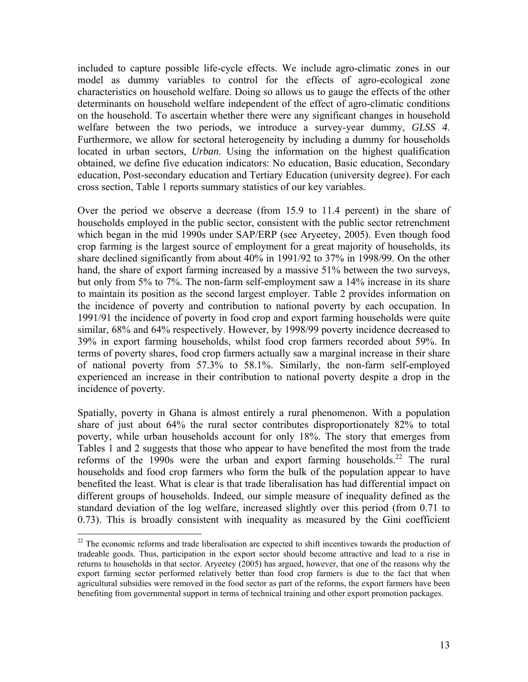included to capture possible life-cycle effects. We include agro-climatic zones in our model as dummy variables to control for the effects of agro-ecological zone characteristics on household welfare. Doing so allows us to gauge the effects of the other determinants on household welfare independent of the effect of agro-climatic conditions on the household. To ascertain whether there were any significant changes in household welfare between the two periods, we introduce a survey-year dummy, *GLSS 4*. Furthermore, we allow for sectoral heterogeneity by including a dummy for households located in urban sectors, *Urban*. Using the information on the highest qualification obtained, we define five education indicators: No education, Basic education, Secondary education, Post-secondary education and Tertiary Education (university degree). For each cross section, Table 1 reports summary statistics of our key variables.

Over the period we observe a decrease (from 15.9 to 11.4 percent) in the share of households employed in the public sector, consistent with the public sector retrenchment which began in the mid 1990s under SAP/ERP (see Aryeetey, 2005). Even though food crop farming is the largest source of employment for a great majority of households, its share declined significantly from about 40% in 1991/92 to 37% in 1998/99. On the other hand, the share of export farming increased by a massive 51% between the two surveys, but only from 5% to 7%. The non-farm self-employment saw a 14% increase in its share to maintain its position as the second largest employer. Table 2 provides information on the incidence of poverty and contribution to national poverty by each occupation. In 1991/91 the incidence of poverty in food crop and export farming households were quite similar, 68% and 64% respectively. However, by 1998/99 poverty incidence decreased to 39% in export farming households, whilst food crop farmers recorded about 59%. In terms of poverty shares, food crop farmers actually saw a marginal increase in their share of national poverty from 57.3% to 58.1%. Similarly, the non-farm self-employed experienced an increase in their contribution to national poverty despite a drop in the incidence of poverty.

Spatially, poverty in Ghana is almost entirely a rural phenomenon. With a population share of just about 64% the rural sector contributes disproportionately 82% to total poverty, while urban households account for only 18%. The story that emerges from Tables 1 and 2 suggests that those who appear to have benefited the most from the trade reforms of the 1990s were the urban and export farming households.<sup>22</sup> The rural households and food crop farmers who form the bulk of the population appear to have benefited the least. What is clear is that trade liberalisation has had differential impact on different groups of households. Indeed, our simple measure of inequality defined as the standard deviation of the log welfare, increased slightly over this period (from 0.71 to 0.73). This is broadly consistent with inequality as measured by the Gini coefficient

<span id="page-12-0"></span><sup>&</sup>lt;sup>22</sup> The economic reforms and trade liberalisation are expected to shift incentives towards the production of tradeable goods. Thus, participation in the export sector should become attractive and lead to a rise in returns to households in that sector. Aryeetey (2005) has argued, however, that one of the reasons why the export farming sector performed relatively better than food crop farmers is due to the fact that when agricultural subsidies were removed in the food sector as part of the reforms, the export farmers have been benefiting from governmental support in terms of technical training and other export promotion packages.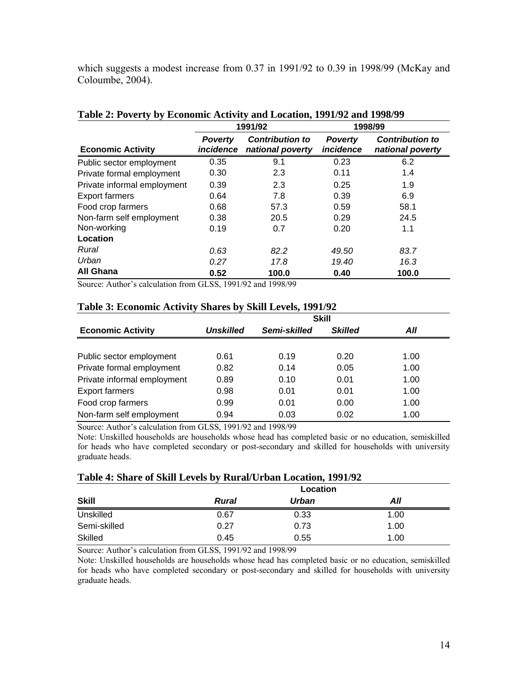which suggests a modest increase from 0.37 in 1991/92 to 0.39 in 1998/99 (McKay and Coloumbe, 2004).

|                             |                             | 1991/92                                    |                             | 1998/99                                    |
|-----------------------------|-----------------------------|--------------------------------------------|-----------------------------|--------------------------------------------|
| <b>Economic Activity</b>    | <b>Poverty</b><br>incidence | <b>Contribution to</b><br>national poverty | <b>Poverty</b><br>incidence | <b>Contribution to</b><br>national poverty |
| Public sector employment    | 0.35                        | 9.1                                        | 0.23                        | 6.2                                        |
| Private formal employment   | 0.30                        | 2.3                                        | 0.11                        | 1.4                                        |
| Private informal employment | 0.39                        | 2.3                                        | 0.25                        | 1.9                                        |
| <b>Export farmers</b>       | 0.64                        | 7.8                                        | 0.39                        | 6.9                                        |
| Food crop farmers           | 0.68                        | 57.3                                       | 0.59                        | 58.1                                       |
| Non-farm self employment    | 0.38                        | 20.5                                       | 0.29                        | 24.5                                       |
| Non-working                 | 0.19                        | 0.7                                        | 0.20                        | 1.1                                        |
| Location                    |                             |                                            |                             |                                            |
| Rural                       | 0.63                        | 82.2                                       | 49.50                       | 83.7                                       |
| Urban                       | 0.27                        | 17.8                                       | 19.40                       | 16.3                                       |
| All Ghana                   | 0.52                        | 100.0                                      | 0.40                        | 100.0                                      |

# **Table 2: Poverty by Economic Activity and Location, 1991/92 and 1998/99**

Source: Author's calculation from GLSS, 1991/92 and 1998/99

|                             |           |              | <b>Skill</b>   |      |
|-----------------------------|-----------|--------------|----------------|------|
| <b>Economic Activity</b>    | Unskilled | Semi-skilled | <b>Skilled</b> | All  |
|                             |           |              |                |      |
| Public sector employment    | 0.61      | 0.19         | 0.20           | 1.00 |
| Private formal employment   | 0.82      | 0.14         | 0.05           | 1.00 |
| Private informal employment | 0.89      | 0.10         | 0.01           | 1.00 |
| <b>Export farmers</b>       | 0.98      | 0.01         | 0.01           | 1.00 |
| Food crop farmers           | 0.99      | 0.01         | 0.00           | 1.00 |
| Non-farm self employment    | 0.94      | 0.03         | 0.02           | 1.00 |

### **Table 3: Economic Activity Shares by Skill Levels, 1991/92**

Source: Author's calculation from GLSS, 1991/92 and 1998/99

Note: Unskilled households are households whose head has completed basic or no education, semiskilled for heads who have completed secondary or post-secondary and skilled for households with university graduate heads.

### **Table 4: Share of Skill Levels by Rural/Urban Location, 1991/92**

|              |              | Location |      |
|--------------|--------------|----------|------|
| <b>Skill</b> | <b>Rural</b> | Urban    | All  |
| Unskilled    | 0.67         | 0.33     | 1.00 |
| Semi-skilled | 0.27         | 0.73     | 1.00 |
| Skilled      | 0.45         | 0.55     | 1.00 |

Source: Author's calculation from GLSS, 1991/92 and 1998/99

Note: Unskilled households are households whose head has completed basic or no education, semiskilled for heads who have completed secondary or post-secondary and skilled for households with university graduate heads.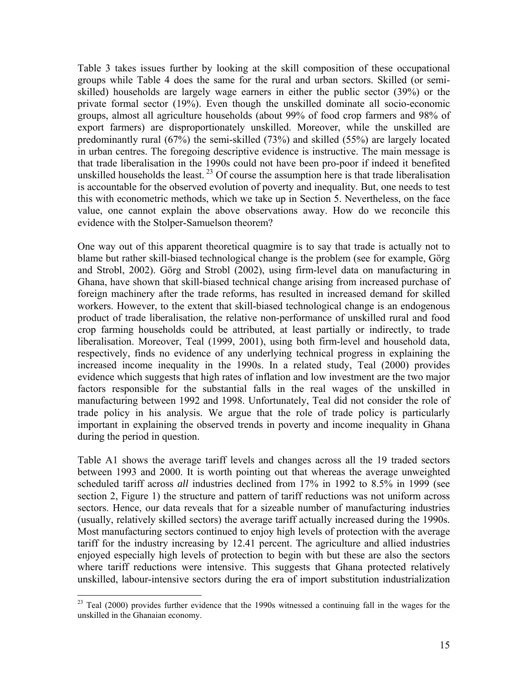Table 3 takes issues further by looking at the skill composition of these occupational groups while Table 4 does the same for the rural and urban sectors. Skilled (or semiskilled) households are largely wage earners in either the public sector (39%) or the private formal sector (19%). Even though the unskilled dominate all socio-economic groups, almost all agriculture households (about 99% of food crop farmers and 98% of export farmers) are disproportionately unskilled. Moreover, while the unskilled are predominantly rural (67%) the semi-skilled (73%) and skilled (55%) are largely located in urban centres. The foregoing descriptive evidence is instructive. The main message is that trade liberalisation in the 1990s could not have been pro-poor if indeed it benefited unskilled households the least.<sup>23</sup> Of course the assumption here is that trade liberalisation is accountable for the observed evolution of poverty and inequality. But, one needs to test this with econometric methods, which we take up in Section 5. Nevertheless, on the face value, one cannot explain the above observations away. How do we reconcile this evidence with the Stolper-Samuelson theorem?

One way out of this apparent theoretical quagmire is to say that trade is actually not to blame but rather skill-biased technological change is the problem (see for example, Görg and Strobl, 2002). Görg and Strobl (2002), using firm-level data on manufacturing in Ghana, have shown that skill-biased technical change arising from increased purchase of foreign machinery after the trade reforms, has resulted in increased demand for skilled workers. However, to the extent that skill-biased technological change is an endogenous product of trade liberalisation, the relative non-performance of unskilled rural and food crop farming households could be attributed, at least partially or indirectly, to trade liberalisation. Moreover, Teal (1999, 2001), using both firm-level and household data, respectively, finds no evidence of any underlying technical progress in explaining the increased income inequality in the 1990s. In a related study, Teal (2000) provides evidence which suggests that high rates of inflation and low investment are the two major factors responsible for the substantial falls in the real wages of the unskilled in manufacturing between 1992 and 1998. Unfortunately, Teal did not consider the role of trade policy in his analysis. We argue that the role of trade policy is particularly important in explaining the observed trends in poverty and income inequality in Ghana during the period in question.

Table A1 shows the average tariff levels and changes across all the 19 traded sectors between 1993 and 2000. It is worth pointing out that whereas the average unweighted scheduled tariff across *all* industries declined from 17% in 1992 to 8.5% in 1999 (see section 2, Figure 1) the structure and pattern of tariff reductions was not uniform across sectors. Hence, our data reveals that for a sizeable number of manufacturing industries (usually, relatively skilled sectors) the average tariff actually increased during the 1990s. Most manufacturing sectors continued to enjoy high levels of protection with the average tariff for the industry increasing by 12.41 percent. The agriculture and allied industries enjoyed especially high levels of protection to begin with but these are also the sectors where tariff reductions were intensive. This suggests that Ghana protected relatively unskilled, labour-intensive sectors during the era of import substitution industrialization

<span id="page-14-0"></span><sup>&</sup>lt;sup>23</sup> Teal (2000) provides further evidence that the 1990s witnessed a continuing fall in the wages for the unskilled in the Ghanaian economy.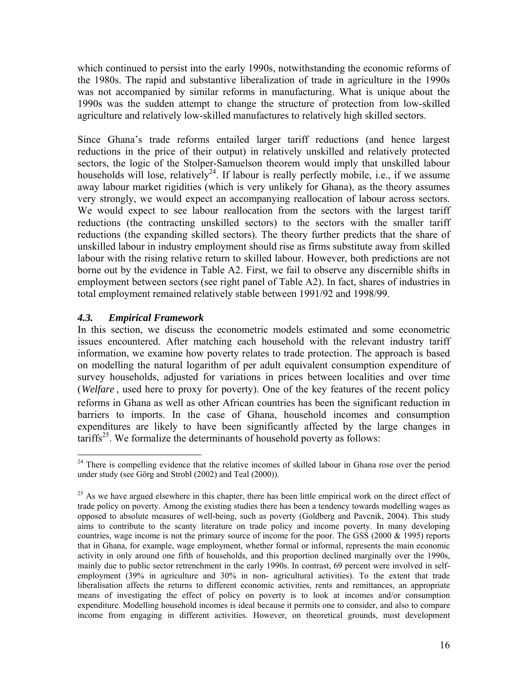which continued to persist into the early 1990s, notwithstanding the economic reforms of the 1980s. The rapid and substantive liberalization of trade in agriculture in the 1990s was not accompanied by similar reforms in manufacturing. What is unique about the 1990s was the sudden attempt to change the structure of protection from low-skilled agriculture and relatively low-skilled manufactures to relatively high skilled sectors.

Since Ghana's trade reforms entailed larger tariff reductions (and hence largest reductions in the price of their output) in relatively unskilled and relatively protected sectors, the logic of the Stolper-Samuelson theorem would imply that unskilled labour households will lose, relatively<sup>24</sup>. If labour is really perfectly mobile, i.e., if we assume away labour market rigidities (which is very unlikely for Ghana), as the theory assumes very strongly, we would expect an accompanying reallocation of labour across sectors. We would expect to see labour reallocation from the sectors with the largest tariff reductions (the contracting unskilled sectors) to the sectors with the smaller tariff reductions (the expanding skilled sectors). The theory further predicts that the share of unskilled labour in industry employment should rise as firms substitute away from skilled labour with the rising relative return to skilled labour. However, both predictions are not borne out by the evidence in Table A2. First, we fail to observe any discernible shifts in employment between sectors (see right panel of Table A2). In fact, shares of industries in total employment remained relatively stable between 1991/92 and 1998/99.

# *4.3. Empirical Framework*

In this section, we discuss the econometric models estimated and some econometric issues encountered. After matching each household with the relevant industry tariff information, we examine how poverty relates to trade protection. The approach is based on modelling the natural logarithm of per adult equivalent consumption expenditure of survey households, adjusted for variations in prices between localities and over time (*Welfare*, used here to proxy for poverty). One of the key features of the recent policy reforms in Ghana as well as other African countries has been the significant reduction in barriers to imports. In the case of Ghana, household incomes and consumption expenditures are likely to have been significantly affected by the large changes in tariffs<sup>25</sup>. We formalize the determinants of household poverty as follows:

<span id="page-15-0"></span><sup>&</sup>lt;sup>24</sup> There is compelling evidence that the relative incomes of skilled labour in Ghana rose over the period under study (see Görg and Strobl (2002) and Teal (2000)).

<span id="page-15-1"></span> $^{25}$  As we have argued elsewhere in this chapter, there has been little empirical work on the direct effect of trade policy on poverty. Among the existing studies there has been a tendency towards modelling wages as opposed to absolute measures of well-being, such as poverty (Goldberg and Pavcnik, 2004). This study aims to contribute to the scanty literature on trade policy and income poverty. In many developing countries, wage income is not the primary source of income for the poor. The GSS (2000 & 1995) reports that in Ghana, for example, wage employment, whether formal or informal, represents the main economic activity in only around one fifth of households, and this proportion declined marginally over the 1990s, mainly due to public sector retrenchment in the early 1990s. In contrast, 69 percent were involved in selfemployment (39% in agriculture and 30% in non- agricultural activities). To the extent that trade liberalisation affects the returns to different economic activities, rents and remittances, an appropriate means of investigating the effect of policy on poverty is to look at incomes and/or consumption expenditure. Modelling household incomes is ideal because it permits one to consider, and also to compare income from engaging in different activities. However, on theoretical grounds, most development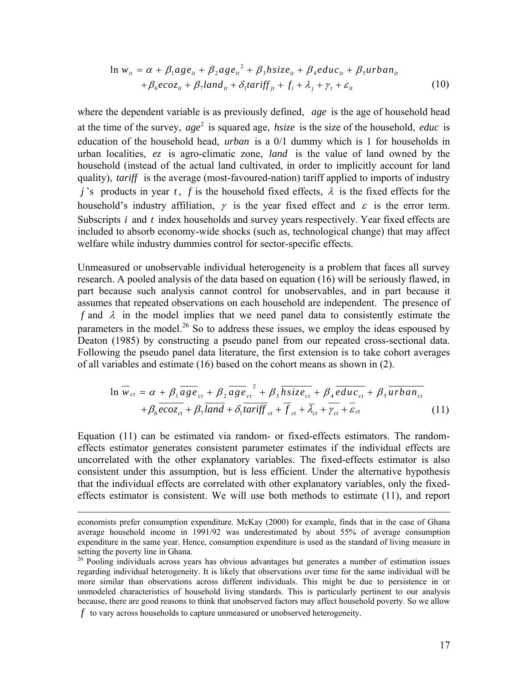$$
\ln w_{it} = \alpha + \beta_1 a g e_{it} + \beta_2 a g e_{it}^2 + \beta_3 h size_{it} + \beta_4 e du c_{it} + \beta_5 u r b a n_{it}
$$
  
+  $\beta_6 e c o z_{it} + \beta_7$   $\ln d_{it} + \delta_1 t a r i f f_{jt} + f_i + \lambda_j + \gamma_t + \varepsilon_{it}$  (10)

where the dependent variable is as previously defined, age is the age of household head at the time of the survey,  $age^2$  is squared age, *hsize* is the size of the household, *educ* is education of the household head, *urban* is a 0/1 dummy which is 1 for households in urban localities, ez is agro-climatic zone, *land* is the value of land owned by the household (instead of the actual land cultivated, in order to implicitly account for land quality), *tariff* is the average (most-favoured-nation) tariff applied to imports of industry *j*'s products in year *t*, *f* is the household fixed effects,  $\lambda$  is the fixed effects for the household's industry affiliation,  $\gamma$  is the year fixed effect and  $\varepsilon$  is the error term. Subscripts *i* and *t* index households and survey years respectively. Year fixed effects are included to absorb economy-wide shocks (such as, technological change) that may affect welfare while industry dummies control for sector-specific effects.

Unmeasured or unobservable individual heterogeneity is a problem that faces all survey research. A pooled analysis of the data based on equation (16) will be seriously flawed, in part because such analysis cannot control for unobservables, and in part because it assumes that repeated observations on each household are independent. The presence of  $f$  and  $\lambda$  in the model implies that we need panel data to consistently estimate the parameters in the model.<sup>26</sup> So to address these issues, we employ the ideas espoused by Deaton (1985) by constructing a pseudo panel from our repeated cross-sectional data. Following the pseudo panel data literature, the first extension is to take cohort averages of all variables and estimate (16) based on the cohort means as shown in (2).

$$
\ln \overline{w}_{ct} = \alpha + \beta_1 \overline{age}_{ct} + \beta_2 \overline{age}_{ct}^2 + \beta_3 \overline{hsize}_{ct} + \beta_4 \overline{educ}_{ct} + \beta_5 \overline{urban}_{ct} + \beta_6 \overline{ecoz}_{ct} + \beta_7 \overline{land} + \delta_1 \overline{tariff}_{ct} + \overline{f}_{ct} + \overline{\lambda}_{ct} + \gamma_{ct} + \overline{\varepsilon}_{ct}
$$
(11)

Equation (11) can be estimated via random- or fixed-effects estimators. The randomeffects estimator generates consistent parameter estimates if the individual effects are uncorrelated with the other explanatory variables. The fixed-effects estimator is also consistent under this assumption, but is less efficient. Under the alternative hypothesis that the individual effects are correlated with other explanatory variables, only the fixedeffects estimator is consistent. We will use both methods to estimate (11), and report

 $\overline{a}$ 

economists prefer consumption expenditure. McKay (2000) for example, finds that in the case of Ghana average household income in 1991/92 was underestimated by about 55% of average consumption expenditure in the same year. Hence, consumption expenditure is used as the standard of living measure in setting the poverty line in Ghana.<br><sup>26</sup> Pooling individuals across years has obvious advantages but generates a number of estimation issues

<span id="page-16-0"></span>regarding individual heterogeneity. It is likely that observations over time for the same individual will be more similar than observations across different individuals. This might be due to persistence in or unmodeled characteristics of household living standards. This is particularly pertinent to our analysis because, there are good reasons to think that unobserved factors may affect household poverty. So we allow *f* to vary across households to capture unmeasured or unobserved heterogeneity.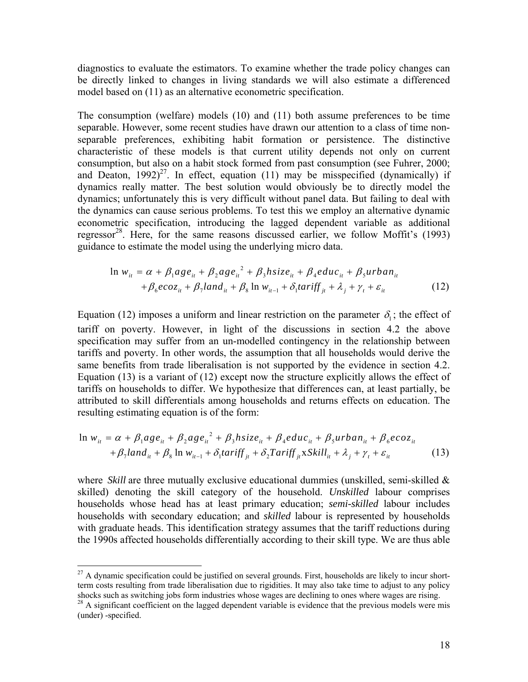diagnostics to evaluate the estimators. To examine whether the trade policy changes can be directly linked to changes in living standards we will also estimate a differenced model based on (11) as an alternative econometric specification.

The consumption (welfare) models (10) and (11) both assume preferences to be time separable. However, some recent studies have drawn our attention to a class of time nonseparable preferences, exhibiting habit formation or persistence. The distinctive characteristic of these models is that current utility depends not only on current consumption, but also on a habit stock formed from past consumption (see Fuhrer, 2000; and Deaton,  $1992)^{27}$ . In effect, equation (11) may be misspecified (dynamically) if dynamics really matter. The best solution would obviously be to directly model the dynamics; unfortunately this is very difficult without panel data. But failing to deal with the dynamics can cause serious problems. To test this we employ an alternative dynamic econometric specification, introducing the lagged dependent variable as additional regressor<sup>28</sup>. Here, for the same reasons discussed earlier, we follow Moffit's  $(1993)$ guidance to estimate the model using the underlying micro data.

$$
\ln w_{it} = \alpha + \beta_1 a g e_{it} + \beta_2 a g e_{it}^2 + \beta_3 h s i z e_{it} + \beta_4 e d u c_{it} + \beta_5 u r b a n_{it}
$$
  
+  $\beta_6 e c o z_{it} + \beta_7 l a n d_{it} + \beta_8 \ln w_{it-1} + \delta_1 t a r i f f_{jt} + \lambda_j + \gamma_t + \varepsilon_{it}$  (12)

Equation (12) imposes a uniform and linear restriction on the parameter  $\delta_i$ ; the effect of tariff on poverty. However, in light of the discussions in section 4.2 the above specification may suffer from an un-modelled contingency in the relationship between tariffs and poverty. In other words, the assumption that all households would derive the same benefits from trade liberalisation is not supported by the evidence in section 4.2. Equation (13) is a variant of (12) except now the structure explicitly allows the effect of tariffs on households to differ. We hypothesize that differences can, at least partially, be attributed to skill differentials among households and returns effects on education. The resulting estimating equation is of the form:

$$
\ln w_{it} = \alpha + \beta_1 a g e_{it} + \beta_2 a g e_{it}^2 + \beta_3 h s i z e_{it} + \beta_4 e du c_{it} + \beta_5 u r b a n_{it} + \beta_6 e c o z_{it}
$$
  
+  $\beta_7$   $\ln w_{it} + \beta_8$   $\ln w_{it-1} + \delta_1 t a r i f f_{it} + \delta_2 T a r i f f_{it} x S k i l l_{it} + \lambda_i + \gamma_t + \varepsilon_{it}$  (13)

where *Skill* are three mutually exclusive educational dummies (unskilled, semi-skilled  $\&$ skilled) denoting the skill category of the household. *Unskilled* labour comprises households whose head has at least primary education; *semi-skilled* labour includes households with secondary education; and *skilled* labour is represented by households with graduate heads. This identification strategy assumes that the tariff reductions during the 1990s affected households differentially according to their skill type. We are thus able

1

<span id="page-17-0"></span> $^{27}$  A dynamic specification could be justified on several grounds. First, households are likely to incur shortterm costs resulting from trade liberalisation due to rigidities. It may also take time to adjust to any policy shocks such as switching jobs form industries whose wages are declining to ones where wages are rising.

<span id="page-17-1"></span> $\frac{28}{28}$  A significant coefficient on the lagged dependent variable is evidence that the previous models were mis (under) -specified.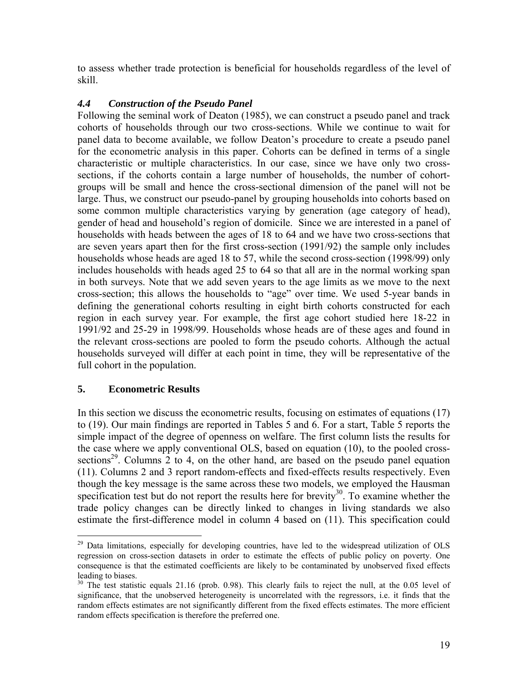to assess whether trade protection is beneficial for households regardless of the level of skill.

# *4.4 Construction of the Pseudo Panel*

Following the seminal work of Deaton (1985), we can construct a pseudo panel and track cohorts of households through our two cross-sections. While we continue to wait for panel data to become available, we follow Deaton's procedure to create a pseudo panel for the econometric analysis in this paper. Cohorts can be defined in terms of a single characteristic or multiple characteristics. In our case, since we have only two crosssections, if the cohorts contain a large number of households, the number of cohortgroups will be small and hence the cross-sectional dimension of the panel will not be large. Thus, we construct our pseudo-panel by grouping households into cohorts based on some common multiple characteristics varying by generation (age category of head), gender of head and household's region of domicile. Since we are interested in a panel of households with heads between the ages of 18 to 64 and we have two cross-sections that are seven years apart then for the first cross-section (1991/92) the sample only includes households whose heads are aged 18 to 57, while the second cross-section (1998/99) only includes households with heads aged 25 to 64 so that all are in the normal working span in both surveys. Note that we add seven years to the age limits as we move to the next cross-section; this allows the households to "age" over time. We used 5-year bands in defining the generational cohorts resulting in eight birth cohorts constructed for each region in each survey year. For example, the first age cohort studied here 18-22 in 1991/92 and 25-29 in 1998/99. Households whose heads are of these ages and found in the relevant cross-sections are pooled to form the pseudo cohorts. Although the actual households surveyed will differ at each point in time, they will be representative of the full cohort in the population.

# **5. Econometric Results**

In this section we discuss the econometric results, focusing on estimates of equations (17) to (19). Our main findings are reported in Tables 5 and 6. For a start, Table 5 reports the simple impact of the degree of openness on welfare. The first column lists the results for the case where we apply conventional OLS, based on equation (10), to the pooled crosssections<sup>29</sup>. Columns 2 to 4, on the other hand, are based on the pseudo panel equation (11). Columns 2 and 3 report random-effects and fixed-effects results respectively. Even though the key message is the same across these two models, we employed the Hausman specification test but do not report the results here for brevity<sup>30</sup>. To examine whether the trade policy changes can be directly linked to changes in living standards we also estimate the first-difference model in column 4 based on (11). This specification could

<span id="page-18-0"></span> $^{29}$  Data limitations, especially for developing countries, have led to the widespread utilization of OLS regression on cross-section datasets in order to estimate the effects of public policy on poverty. One consequence is that the estimated coefficients are likely to be contaminated by unobserved fixed effects leading to biases.<br><sup>30</sup> The test statistic equals 21.16 (prob. 0.98). This clearly fails to reject the null, at the 0.05 level of

<span id="page-18-1"></span>significance, that the unobserved heterogeneity is uncorrelated with the regressors, i.e. it finds that the random effects estimates are not significantly different from the fixed effects estimates. The more efficient random effects specification is therefore the preferred one.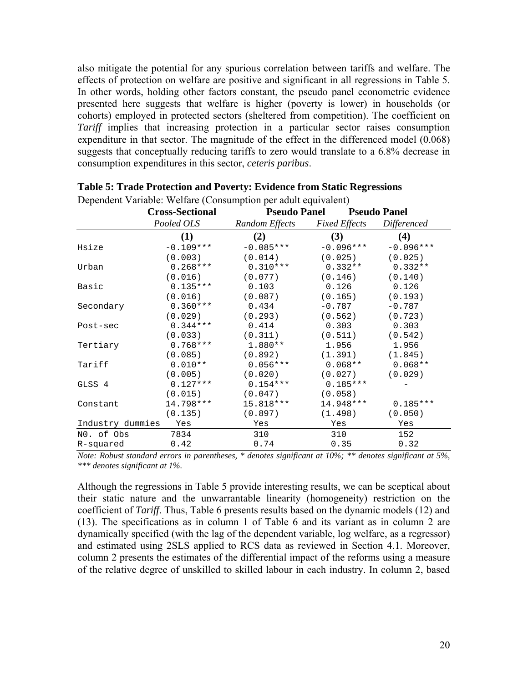also mitigate the potential for any spurious correlation between tariffs and welfare. The effects of protection on welfare are positive and significant in all regressions in Table 5. In other words, holding other factors constant, the pseudo panel econometric evidence presented here suggests that welfare is higher (poverty is lower) in households (or cohorts) employed in protected sectors (sheltered from competition). The coefficient on *Tariff* implies that increasing protection in a particular sector raises consumption expenditure in that sector. The magnitude of the effect in the differenced model (0.068) suggests that conceptually reducing tariffs to zero would translate to a 6.8% decrease in consumption expenditures in this sector, *ceteris paribus*.

|                  | <b>Cross-Sectional</b> | <b>Pseudo Panel</b> |                      | <b>Pseudo Panel</b> |
|------------------|------------------------|---------------------|----------------------|---------------------|
|                  | Pooled OLS             | Random Effects      | <b>Fixed Effects</b> | Differenced         |
|                  | (1)                    | (2)                 | (3)                  | (4)                 |
| Hsize            | $-0.109***$            | $-0.085***$         | $-0.096***$          | $-0.096***$         |
|                  | (0.003)                | (0.014)             | (0.025)              | (0.025)             |
| Urban            | $0.268***$             | $0.310***$          | $0.332**$            | $0.332**$           |
|                  | (0.016)                | (0.077)             | (0.146)              | (0.140)             |
| Basic            | $0.135***$             | 0.103               | 0.126                | 0.126               |
|                  | (0.016)                | (0.087)             | (0.165)              | (0.193)             |
| Secondary        | $0.360***$             | 0.434               | $-0.787$             | $-0.787$            |
|                  | (0.029)                | (0.293)             | (0.562)              | (0.723)             |
| Post-sec         | $0.344***$             | 0.414               | 0.303                | 0.303               |
|                  | (0.033)                | (0.311)             | (0.511)              | (0.542)             |
| Tertiary         | $0.768***$             | $1.880**$           | 1.956                | 1.956               |
|                  | (0.085)                | (0.892)             | (1.391)              | (1.845)             |
| Tariff           | $0.010**$              | $0.056***$          | $0.068**$            | $0.068**$           |
|                  | (0.005)                | (0.020)             | (0.027)              | (0.029)             |
| GLSS 4           | $0.127***$             | $0.154***$          | $0.185***$           |                     |
|                  | (0.015)                | (0.047)             | (0.058)              |                     |
| Constant         | 14.798 ***             | 15.818 ***          | 14.948 ***           | $0.185***$          |
|                  | (0.135)                | (0.897)             | (1.498)              | (0.050)             |
| Industry dummies | Yes                    | Yes                 | Yes                  | Yes                 |
| NO. of Obs       | 7834                   | 310                 | 310                  | 152                 |
| R-squared        | 0.42                   | 0.74                | 0.35                 | 0.32                |

|  |  |  |  | Table 5: Trade Protection and Poverty: Evidence from Static Regressions |
|--|--|--|--|-------------------------------------------------------------------------|
|  |  |  |  |                                                                         |

Dependent Variable: Welfare (Consumption per adult equivalent)

*Note: Robust standard errors in parentheses, \* denotes significant at 10%; \*\* denotes significant at 5%, \*\*\* denotes significant at 1%.* 

Although the regressions in Table 5 provide interesting results, we can be sceptical about their static nature and the unwarrantable linearity (homogeneity) restriction on the coefficient of *Tariff*. Thus, Table 6 presents results based on the dynamic models (12) and (13). The specifications as in column 1 of Table 6 and its variant as in column 2 are dynamically specified (with the lag of the dependent variable, log welfare, as a regressor) and estimated using 2SLS applied to RCS data as reviewed in Section 4.1. Moreover, column 2 presents the estimates of the differential impact of the reforms using a measure of the relative degree of unskilled to skilled labour in each industry. In column 2, based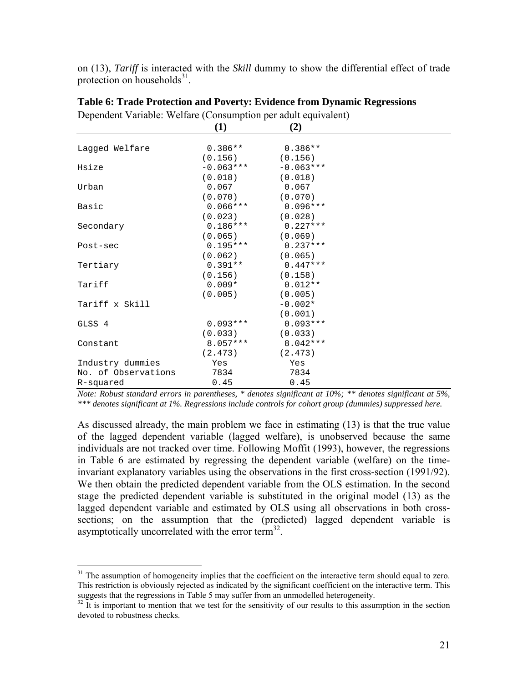on (13), *Tariff* is interacted with the *Skill* dummy to show the differential effect of trade protection on households $31$ .

| Dependent Variable: Welfare (Consumption per adult equivalent) |             |             |  |
|----------------------------------------------------------------|-------------|-------------|--|
|                                                                | $\bf(1)$    | (2)         |  |
|                                                                |             |             |  |
| Laqqed Welfare                                                 | $0.386**$   | $0.386**$   |  |
|                                                                | (0.156)     | (0.156)     |  |
| Hsize                                                          | $-0.063***$ | $-0.063***$ |  |
|                                                                | (0.018)     | (0.018)     |  |
| Urban                                                          | 0.067       | 0.067       |  |
|                                                                | (0.070)     | (0.070)     |  |
| Basic                                                          | $0.066***$  | $0.096***$  |  |
|                                                                | (0.023)     | (0.028)     |  |
| Secondary                                                      | $0.186***$  | $0.227***$  |  |
|                                                                | (0.065)     | (0.069)     |  |
| Post-sec                                                       | $0.195***$  | $0.237***$  |  |
|                                                                | (0.062)     | (0.065)     |  |
| Tertiary                                                       | $0.391**$   | $0.447***$  |  |
|                                                                | (0.156)     | (0.158)     |  |
| Tariff                                                         | $0.009*$    | $0.012**$   |  |
|                                                                | (0.005)     | (0.005)     |  |
| Tariff x Skill                                                 |             | $-0.002*$   |  |
|                                                                |             | (0.001)     |  |
| GLSS 4                                                         | $0.093***$  | $0.093***$  |  |
|                                                                | (0.033)     | (0.033)     |  |
| Constant                                                       | $8.057***$  | $8.042***$  |  |
|                                                                | (2.473)     | (2.473)     |  |
| Industry dummies                                               | Yes         | Yes         |  |
| No. of Observations                                            | 7834        | 7834        |  |
| R-squared                                                      | 0.45        | 0.45        |  |

**Table 6: Trade Protection and Poverty: Evidence from Dynamic Regressions** 

*Note: Robust standard errors in parentheses, \* denotes significant at 10%; \*\* denotes significant at 5%, \*\*\* denotes significant at 1%. Regressions include controls for cohort group (dummies) suppressed here.* 

As discussed already, the main problem we face in estimating (13) is that the true value of the lagged dependent variable (lagged welfare), is unobserved because the same individuals are not tracked over time. Following Moffit (1993), however, the regressions in Table 6 are estimated by regressing the dependent variable (welfare) on the timeinvariant explanatory variables using the observations in the first cross-section (1991/92). We then obtain the predicted dependent variable from the OLS estimation. In the second stage the predicted dependent variable is substituted in the original model (13) as the lagged dependent variable and estimated by OLS using all observations in both crosssections; on the assumption that the (predicted) lagged dependent variable is asymptotically uncorrelated with the error term $^{32}$ .

<span id="page-20-0"></span><sup>&</sup>lt;sup>31</sup> The assumption of homogeneity implies that the coefficient on the interactive term should equal to zero. This restriction is obviously rejected as indicated by the significant coefficient on the interactive term. This suggests that the regressions in Table 5 may suffer from an unmodelled heterogeneity.

<span id="page-20-1"></span> $32$  It is important to mention that we test for the sensitivity of our results to this assumption in the section devoted to robustness checks.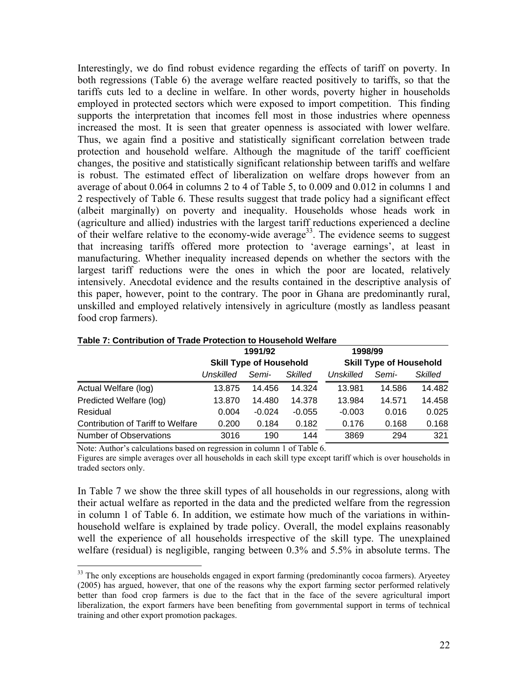Interestingly, we do find robust evidence regarding the effects of tariff on poverty. In both regressions (Table 6) the average welfare reacted positively to tariffs, so that the tariffs cuts led to a decline in welfare. In other words, poverty higher in households employed in protected sectors which were exposed to import competition. This finding supports the interpretation that incomes fell most in those industries where openness increased the most. It is seen that greater openness is associated with lower welfare. Thus, we again find a positive and statistically significant correlation between trade protection and household welfare. Although the magnitude of the tariff coefficient changes, the positive and statistically significant relationship between tariffs and welfare is robust. The estimated effect of liberalization on welfare drops however from an average of about 0.064 in columns 2 to 4 of Table 5, to 0.009 and 0.012 in columns 1 and 2 respectively of Table 6. These results suggest that trade policy had a significant effect (albeit marginally) on poverty and inequality. Households whose heads work in (agriculture and allied) industries with the largest tariff reductions experienced a decline of their welfare relative to the economy-wide average<sup>33</sup>. The evidence seems to suggest that increasing tariffs offered more protection to 'average earnings', at least in manufacturing. Whether inequality increased depends on whether the sectors with the largest tariff reductions were the ones in which the poor are located, relatively intensively. Anecdotal evidence and the results contained in the descriptive analysis of this paper, however, point to the contrary. The poor in Ghana are predominantly rural, unskilled and employed relatively intensively in agriculture (mostly as landless peasant food crop farmers).

|                                   |           | 1991/92                        |                | 1998/99   |                                |                |
|-----------------------------------|-----------|--------------------------------|----------------|-----------|--------------------------------|----------------|
|                                   |           | <b>Skill Type of Household</b> |                |           | <b>Skill Type of Household</b> |                |
|                                   | Unskilled | Semi-                          | <b>Skilled</b> | Unskilled | Semi-                          | <b>Skilled</b> |
| Actual Welfare (log)              | 13.875    | 14.456                         | 14.324         | 13.981    | 14.586                         | 14.482         |
| Predicted Welfare (log)           | 13,870    | 14.480                         | 14.378         | 13.984    | 14.571                         | 14.458         |
| Residual                          | 0.004     | $-0.024$                       | $-0.055$       | $-0.003$  | 0.016                          | 0.025          |
| Contribution of Tariff to Welfare | 0.200     | 0.184                          | 0.182          | 0.176     | 0.168                          | 0.168          |
| <b>Number of Observations</b>     | 3016      | 190                            | 144            | 3869      | 294                            | 321            |

| Table 7: Contribution of Trade Protection to Household Welfare |  |
|----------------------------------------------------------------|--|
|----------------------------------------------------------------|--|

Note: Author's calculations based on regression in column 1 of Table 6.

Figures are simple averages over all households in each skill type except tariff which is over households in traded sectors only.

In Table 7 we show the three skill types of all households in our regressions, along with their actual welfare as reported in the data and the predicted welfare from the regression in column 1 of Table 6. In addition, we estimate how much of the variations in withinhousehold welfare is explained by trade policy. Overall, the model explains reasonably well the experience of all households irrespective of the skill type. The unexplained welfare (residual) is negligible, ranging between 0.3% and 5.5% in absolute terms. The

<span id="page-21-0"></span><sup>&</sup>lt;sup>33</sup> The only exceptions are households engaged in export farming (predominantly cocoa farmers). Aryeetey (2005) has argued, however, that one of the reasons why the export farming sector performed relatively better than food crop farmers is due to the fact that in the face of the severe agricultural import liberalization, the export farmers have been benefiting from governmental support in terms of technical training and other export promotion packages.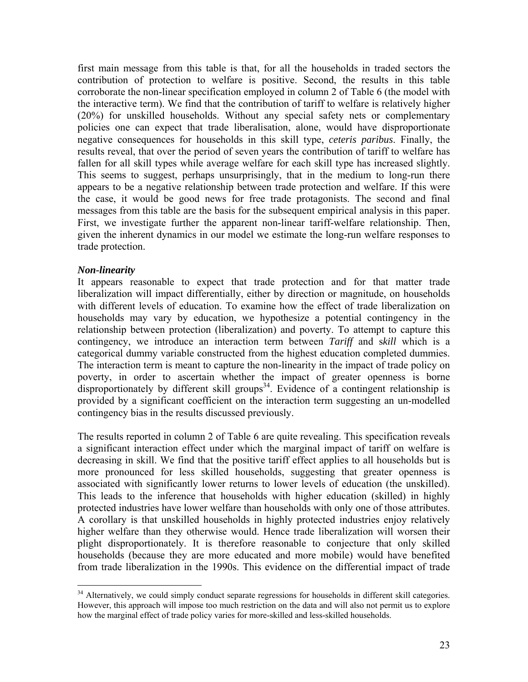first main message from this table is that, for all the households in traded sectors the contribution of protection to welfare is positive. Second, the results in this table corroborate the non-linear specification employed in column 2 of Table 6 (the model with the interactive term). We find that the contribution of tariff to welfare is relatively higher (20%) for unskilled households. Without any special safety nets or complementary policies one can expect that trade liberalisation, alone, would have disproportionate negative consequences for households in this skill type, *ceteris paribus*. Finally, the results reveal, that over the period of seven years the contribution of tariff to welfare has fallen for all skill types while average welfare for each skill type has increased slightly. This seems to suggest, perhaps unsurprisingly, that in the medium to long-run there appears to be a negative relationship between trade protection and welfare. If this were the case, it would be good news for free trade protagonists. The second and final messages from this table are the basis for the subsequent empirical analysis in this paper. First, we investigate further the apparent non-linear tariff-welfare relationship. Then, given the inherent dynamics in our model we estimate the long-run welfare responses to trade protection.

### *Non-linearity*

It appears reasonable to expect that trade protection and for that matter trade liberalization will impact differentially, either by direction or magnitude, on households with different levels of education. To examine how the effect of trade liberalization on households may vary by education, we hypothesize a potential contingency in the relationship between protection (liberalization) and poverty. To attempt to capture this contingency, we introduce an interaction term between *Tariff* and s*kill* which is a categorical dummy variable constructed from the highest education completed dummies. The interaction term is meant to capture the non-linearity in the impact of trade policy on poverty, in order to ascertain whether the impact of greater openness is borne disproportionately by different skill groups<sup>34</sup>. Evidence of a contingent relationship is provided by a significant coefficient on the interaction term suggesting an un-modelled contingency bias in the results discussed previously.

The results reported in column 2 of Table 6 are quite revealing. This specification reveals a significant interaction effect under which the marginal impact of tariff on welfare is decreasing in skill. We find that the positive tariff effect applies to all households but is more pronounced for less skilled households, suggesting that greater openness is associated with significantly lower returns to lower levels of education (the unskilled). This leads to the inference that households with higher education (skilled) in highly protected industries have lower welfare than households with only one of those attributes. A corollary is that unskilled households in highly protected industries enjoy relatively higher welfare than they otherwise would. Hence trade liberalization will worsen their plight disproportionately. It is therefore reasonable to conjecture that only skilled households (because they are more educated and more mobile) would have benefited from trade liberalization in the 1990s. This evidence on the differential impact of trade

<span id="page-22-0"></span><sup>&</sup>lt;sup>34</sup> Alternatively, we could simply conduct separate regressions for households in different skill categories. However, this approach will impose too much restriction on the data and will also not permit us to explore how the marginal effect of trade policy varies for more-skilled and less-skilled households.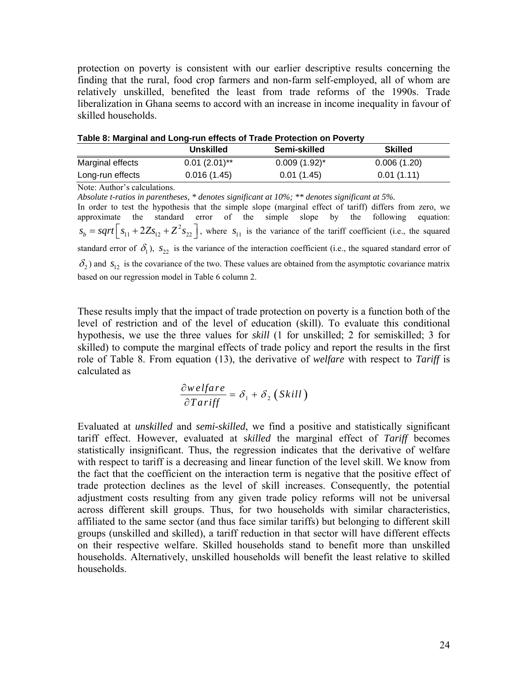protection on poverty is consistent with our earlier descriptive results concerning the finding that the rural, food crop farmers and non-farm self-employed, all of whom are relatively unskilled, benefited the least from trade reforms of the 1990s. Trade liberalization in Ghana seems to accord with an increase in income inequality in favour of skilled households.

|                  |                  | Table 6: Marginal and Long-run effects of Trade Protection on Poverty |                |
|------------------|------------------|-----------------------------------------------------------------------|----------------|
|                  | <b>Unskilled</b> | Semi-skilled                                                          | <b>Skilled</b> |
| Marginal effects | $0.01(2.01)$ **  | $0.009(1.92)^{*}$                                                     | 0.006(1.20)    |
| Long-run effects | 0.016(1.45)      | 0.01(1.45)                                                            | 0.01(1.11)     |

**Table 8: Marginal and Long-run effects of Trade Protection on Poverty**

Note: Author's calculations.

*Absolute t-ratios in parentheses, \* denotes significant at 10%; \*\* denotes significant at 5%.*  In order to test the hypothesis that the simple slope (marginal effect of tariff) differs from zero, we approximate the standard error of the simple slope by the following equation:  $s_b = sqrt[s_{11} + 2Zs_{12} + Z^2s_{22}]$ , where  $s_{11}$  is the variance of the tariff coefficient (i.e., the squared standard error of  $\delta_1$ ),  $s_{22}$  is the variance of the interaction coefficient (i.e., the squared standard error of  $\delta_2$ ) and  $s_{12}$  is the covariance of the two. These values are obtained from the asymptotic covariance matrix based on our regression model in Table 6 column 2.

These results imply that the impact of trade protection on poverty is a function both of the level of restriction and of the level of education (skill). To evaluate this conditional hypothesis, we use the three values for *skill* (1 for unskilled; 2 for semiskilled; 3 for skilled) to compute the marginal effects of trade policy and report the results in the first role of Table 8. From equation (13), the derivative of *welfare* with respect to *Tariff* is calculated as

$$
\frac{\partial w \, \text{e} \, \text{f} \, \text{a} \, \text{r}}{\partial \, \text{T} \, \text{a} \, \text{r} \, \text{if} \, \text{f}} = \delta_1 + \delta_2 \left( \text{Skill} \right)
$$

Evaluated at *unskilled* and *semi-skilled*, we find a positive and statistically significant tariff effect. However, evaluated at s*killed* the marginal effect of *Tariff* becomes statistically insignificant. Thus, the regression indicates that the derivative of welfare with respect to tariff is a decreasing and linear function of the level skill. We know from the fact that the coefficient on the interaction term is negative that the positive effect of trade protection declines as the level of skill increases. Consequently, the potential adjustment costs resulting from any given trade policy reforms will not be universal across different skill groups. Thus, for two households with similar characteristics, affiliated to the same sector (and thus face similar tariffs) but belonging to different skill groups (unskilled and skilled), a tariff reduction in that sector will have different effects on their respective welfare. Skilled households stand to benefit more than unskilled households. Alternatively, unskilled households will benefit the least relative to skilled households.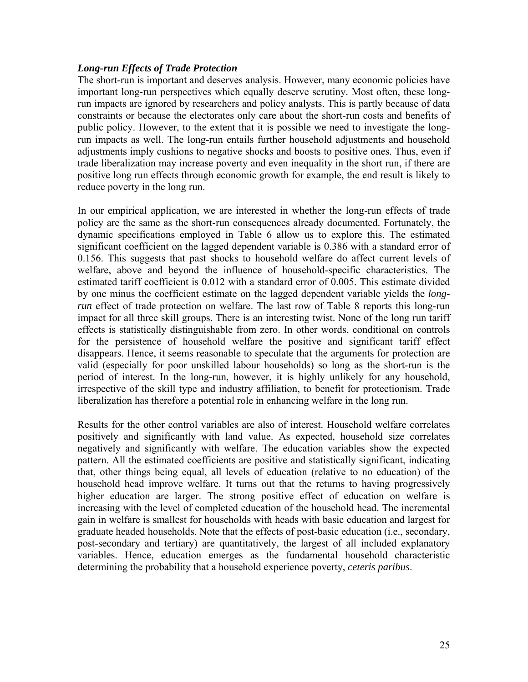## *Long-run Effects of Trade Protection*

The short-run is important and deserves analysis. However, many economic policies have important long-run perspectives which equally deserve scrutiny. Most often, these longrun impacts are ignored by researchers and policy analysts. This is partly because of data constraints or because the electorates only care about the short-run costs and benefits of public policy. However, to the extent that it is possible we need to investigate the longrun impacts as well. The long-run entails further household adjustments and household adjustments imply cushions to negative shocks and boosts to positive ones. Thus, even if trade liberalization may increase poverty and even inequality in the short run, if there are positive long run effects through economic growth for example, the end result is likely to reduce poverty in the long run.

In our empirical application, we are interested in whether the long-run effects of trade policy are the same as the short-run consequences already documented. Fortunately, the dynamic specifications employed in Table 6 allow us to explore this. The estimated significant coefficient on the lagged dependent variable is 0.386 with a standard error of 0.156. This suggests that past shocks to household welfare do affect current levels of welfare, above and beyond the influence of household-specific characteristics. The estimated tariff coefficient is 0.012 with a standard error of 0.005. This estimate divided by one minus the coefficient estimate on the lagged dependent variable yields the *longrun* effect of trade protection on welfare. The last row of Table 8 reports this long-run impact for all three skill groups. There is an interesting twist. None of the long run tariff effects is statistically distinguishable from zero. In other words, conditional on controls for the persistence of household welfare the positive and significant tariff effect disappears. Hence, it seems reasonable to speculate that the arguments for protection are valid (especially for poor unskilled labour households) so long as the short-run is the period of interest. In the long-run, however, it is highly unlikely for any household, irrespective of the skill type and industry affiliation, to benefit for protectionism. Trade liberalization has therefore a potential role in enhancing welfare in the long run.

Results for the other control variables are also of interest. Household welfare correlates positively and significantly with land value. As expected, household size correlates negatively and significantly with welfare. The education variables show the expected pattern. All the estimated coefficients are positive and statistically significant, indicating that, other things being equal, all levels of education (relative to no education) of the household head improve welfare. It turns out that the returns to having progressively higher education are larger. The strong positive effect of education on welfare is increasing with the level of completed education of the household head. The incremental gain in welfare is smallest for households with heads with basic education and largest for graduate headed households. Note that the effects of post-basic education (i.e., secondary, post-secondary and tertiary) are quantitatively, the largest of all included explanatory variables. Hence, education emerges as the fundamental household characteristic determining the probability that a household experience poverty, *ceteris paribus*.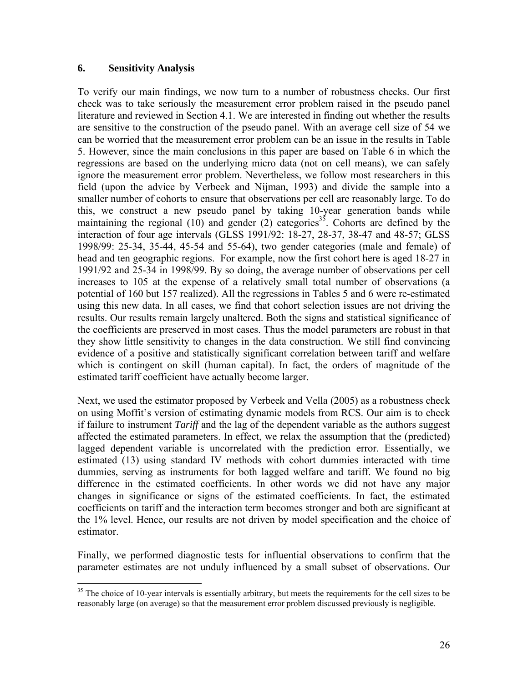### **6. Sensitivity Analysis**

To verify our main findings, we now turn to a number of robustness checks. Our first check was to take seriously the measurement error problem raised in the pseudo panel literature and reviewed in Section 4.1. We are interested in finding out whether the results are sensitive to the construction of the pseudo panel. With an average cell size of 54 we can be worried that the measurement error problem can be an issue in the results in Table 5. However, since the main conclusions in this paper are based on Table 6 in which the regressions are based on the underlying micro data (not on cell means), we can safely ignore the measurement error problem. Nevertheless, we follow most researchers in this field (upon the advice by Verbeek and Nijman, 1993) and divide the sample into a smaller number of cohorts to ensure that observations per cell are reasonably large. To do this, we construct a new pseudo panel by taking 10-year generation bands while maintaining the regional (10) and gender (2) categories<sup>35</sup>. Cohorts are defined by the interaction of four age intervals (GLSS 1991/92: 18-27, 28-37, 38-47 and 48-57; GLSS 1998/99: 25-34, 35-44, 45-54 and 55-64), two gender categories (male and female) of head and ten geographic regions. For example, now the first cohort here is aged 18-27 in 1991/92 and 25-34 in 1998/99. By so doing, the average number of observations per cell increases to 105 at the expense of a relatively small total number of observations (a potential of 160 but 157 realized). All the regressions in Tables 5 and 6 were re-estimated using this new data. In all cases, we find that cohort selection issues are not driving the results. Our results remain largely unaltered. Both the signs and statistical significance of the coefficients are preserved in most cases. Thus the model parameters are robust in that they show little sensitivity to changes in the data construction. We still find convincing evidence of a positive and statistically significant correlation between tariff and welfare which is contingent on skill (human capital). In fact, the orders of magnitude of the estimated tariff coefficient have actually become larger.

Next, we used the estimator proposed by Verbeek and Vella (2005) as a robustness check on using Moffit's version of estimating dynamic models from RCS. Our aim is to check if failure to instrument *Tariff* and the lag of the dependent variable as the authors suggest affected the estimated parameters. In effect, we relax the assumption that the (predicted) lagged dependent variable is uncorrelated with the prediction error. Essentially, we estimated (13) using standard IV methods with cohort dummies interacted with time dummies, serving as instruments for both lagged welfare and tariff. We found no big difference in the estimated coefficients. In other words we did not have any major changes in significance or signs of the estimated coefficients. In fact, the estimated coefficients on tariff and the interaction term becomes stronger and both are significant at the 1% level. Hence, our results are not driven by model specification and the choice of estimator.

Finally, we performed diagnostic tests for influential observations to confirm that the parameter estimates are not unduly influenced by a small subset of observations. Our

<span id="page-25-0"></span> $35$  The choice of 10-year intervals is essentially arbitrary, but meets the requirements for the cell sizes to be reasonably large (on average) so that the measurement error problem discussed previously is negligible.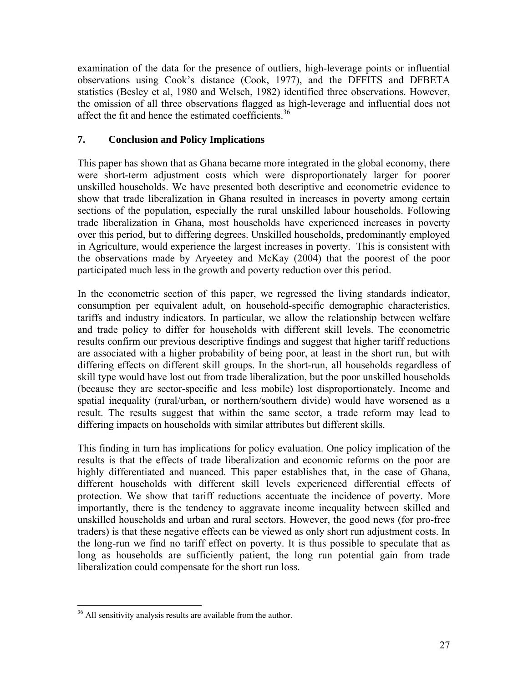examination of the data for the presence of outliers, high-leverage points or influential observations using Cook's distance (Cook, 1977), and the DFFITS and DFBETA statistics (Besley et al, 1980 and Welsch, 1982) identified three observations. However, the omission of all three observations flagged as high-leverage and influential does not affect the fit and hence the estimated coefficients.<sup>36</sup>

# **7. Conclusion and Policy Implications**

This paper has shown that as Ghana became more integrated in the global economy, there were short-term adjustment costs which were disproportionately larger for poorer unskilled households. We have presented both descriptive and econometric evidence to show that trade liberalization in Ghana resulted in increases in poverty among certain sections of the population, especially the rural unskilled labour households. Following trade liberalization in Ghana, most households have experienced increases in poverty over this period, but to differing degrees. Unskilled households, predominantly employed in Agriculture, would experience the largest increases in poverty. This is consistent with the observations made by Aryeetey and McKay (2004) that the poorest of the poor participated much less in the growth and poverty reduction over this period.

In the econometric section of this paper, we regressed the living standards indicator, consumption per equivalent adult, on household-specific demographic characteristics, tariffs and industry indicators. In particular, we allow the relationship between welfare and trade policy to differ for households with different skill levels. The econometric results confirm our previous descriptive findings and suggest that higher tariff reductions are associated with a higher probability of being poor, at least in the short run, but with differing effects on different skill groups. In the short-run, all households regardless of skill type would have lost out from trade liberalization, but the poor unskilled households (because they are sector-specific and less mobile) lost disproportionately. Income and spatial inequality (rural/urban, or northern/southern divide) would have worsened as a result. The results suggest that within the same sector, a trade reform may lead to differing impacts on households with similar attributes but different skills.

This finding in turn has implications for policy evaluation. One policy implication of the results is that the effects of trade liberalization and economic reforms on the poor are highly differentiated and nuanced. This paper establishes that, in the case of Ghana, different households with different skill levels experienced differential effects of protection. We show that tariff reductions accentuate the incidence of poverty. More importantly, there is the tendency to aggravate income inequality between skilled and unskilled households and urban and rural sectors. However, the good news (for pro-free traders) is that these negative effects can be viewed as only short run adjustment costs. In the long-run we find no tariff effect on poverty. It is thus possible to speculate that as long as households are sufficiently patient, the long run potential gain from trade liberalization could compensate for the short run loss.

<span id="page-26-0"></span><sup>&</sup>lt;sup>36</sup> All sensitivity analysis results are available from the author.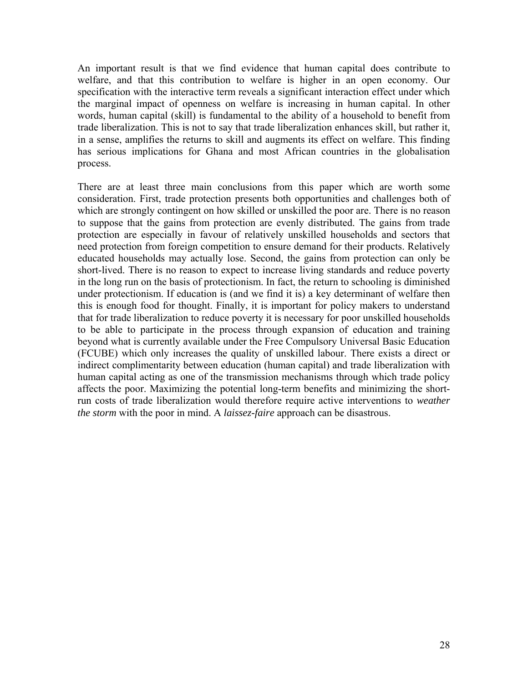An important result is that we find evidence that human capital does contribute to welfare, and that this contribution to welfare is higher in an open economy. Our specification with the interactive term reveals a significant interaction effect under which the marginal impact of openness on welfare is increasing in human capital. In other words, human capital (skill) is fundamental to the ability of a household to benefit from trade liberalization. This is not to say that trade liberalization enhances skill, but rather it, in a sense, amplifies the returns to skill and augments its effect on welfare. This finding has serious implications for Ghana and most African countries in the globalisation process.

There are at least three main conclusions from this paper which are worth some consideration. First, trade protection presents both opportunities and challenges both of which are strongly contingent on how skilled or unskilled the poor are. There is no reason to suppose that the gains from protection are evenly distributed. The gains from trade protection are especially in favour of relatively unskilled households and sectors that need protection from foreign competition to ensure demand for their products. Relatively educated households may actually lose. Second, the gains from protection can only be short-lived. There is no reason to expect to increase living standards and reduce poverty in the long run on the basis of protectionism. In fact, the return to schooling is diminished under protectionism. If education is (and we find it is) a key determinant of welfare then this is enough food for thought. Finally, it is important for policy makers to understand that for trade liberalization to reduce poverty it is necessary for poor unskilled households to be able to participate in the process through expansion of education and training beyond what is currently available under the Free Compulsory Universal Basic Education (FCUBE) which only increases the quality of unskilled labour. There exists a direct or indirect complimentarity between education (human capital) and trade liberalization with human capital acting as one of the transmission mechanisms through which trade policy affects the poor. Maximizing the potential long-term benefits and minimizing the shortrun costs of trade liberalization would therefore require active interventions to *weather the storm* with the poor in mind. A *laissez-faire* approach can be disastrous.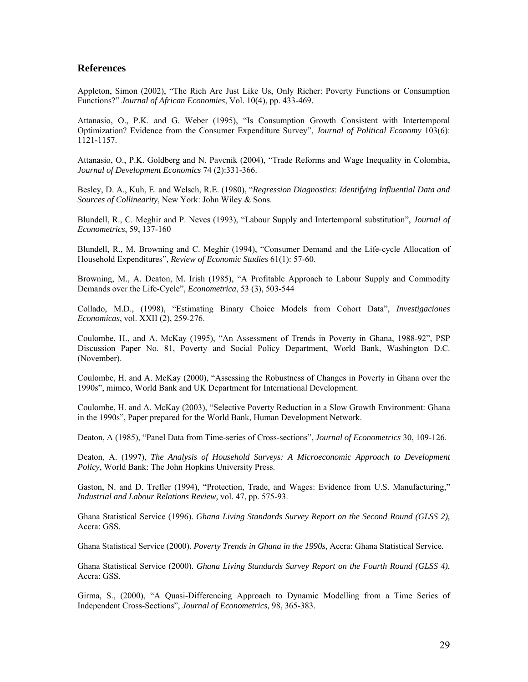### **References**

Appleton, Simon (2002), "The Rich Are Just Like Us, Only Richer: Poverty Functions or Consumption Functions?" *Journal of African Economies*, Vol. 10(4), pp. 433-469.

Attanasio, O., P.K. and G. Weber (1995), "Is Consumption Growth Consistent with Intertemporal Optimization? Evidence from the Consumer Expenditure Survey", *Journal of Political Economy* 103(6): 1121-1157.

Attanasio, O., P.K. Goldberg and N. Pavcnik (2004), "Trade Reforms and Wage Inequality in Colombia, *Journal of Development Economics* 74 (2):331-366.

Besley, D. A., Kuh, E. and Welsch, R.E. (1980), "*Regression Diagnostics*: *Identifying Influential Data and Sources of Collinearity*, New York: John Wiley & Sons.

Blundell, R., C. Meghir and P. Neves (1993), "Labour Supply and Intertemporal substitution", *Journal of Econometrics*, 59, 137-160

Blundell, R., M. Browning and C. Meghir (1994), "Consumer Demand and the Life-cycle Allocation of Household Expenditures", *Review of Economic Studies* 61(1): 57-60.

Browning, M., A. Deaton, M. Irish (1985), "A Profitable Approach to Labour Supply and Commodity Demands over the Life-Cycle", *Econometrica*, 53 (3), 503-544

Collado, M.D., (1998), "Estimating Binary Choice Models from Cohort Data", *Investigaciones Economicas*, vol. XXII (2), 259-276.

Coulombe, H., and A. McKay (1995), "An Assessment of Trends in Poverty in Ghana, 1988-92", PSP Discussion Paper No. 81, Poverty and Social Policy Department, World Bank, Washington D.C. (November).

Coulombe, H. and A. McKay (2000), "Assessing the Robustness of Changes in Poverty in Ghana over the 1990s", mimeo, World Bank and UK Department for International Development.

Coulombe, H. and A. McKay (2003), "Selective Poverty Reduction in a Slow Growth Environment: Ghana in the 1990s", Paper prepared for the World Bank, Human Development Network.

Deaton, A (1985), "Panel Data from Time-series of Cross-sections", *Journal of Econometrics* 30, 109-126.

Deaton, A. (1997), *The Analysis of Household Surveys: A Microeconomic Approach to Development Policy*, World Bank: The John Hopkins University Press.

Gaston, N. and D. Trefler (1994), "Protection, Trade, and Wages: Evidence from U.S. Manufacturing," *Industrial and Labour Relations Review,* vol. 47, pp. 575-93.

Ghana Statistical Service (1996). *Ghana Living Standards Survey Report on the Second Round (GLSS 2)*, Accra: GSS.

Ghana Statistical Service (2000). *Poverty Trends in Ghana in the 1990s*, Accra: Ghana Statistical Service.

Ghana Statistical Service (2000). *Ghana Living Standards Survey Report on the Fourth Round (GLSS 4)*, Accra: GSS.

Girma, S., (2000), "A Quasi-Differencing Approach to Dynamic Modelling from a Time Series of Independent Cross-Sections", *Journal of Econometrics,* 98, 365-383.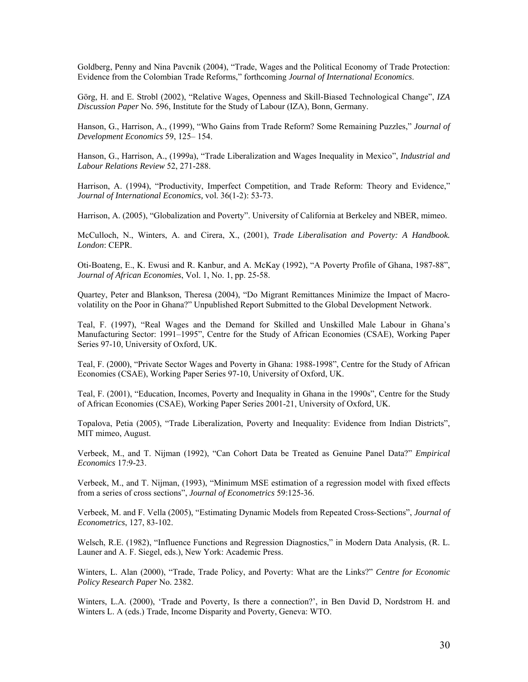Goldberg, Penny and Nina Pavcnik (2004), "Trade, Wages and the Political Economy of Trade Protection: Evidence from the Colombian Trade Reforms," forthcoming *Journal of International Economics*.

Görg, H. and E. Strobl (2002), "Relative Wages, Openness and Skill-Biased Technological Change", *IZA Discussion Paper* No. 596, Institute for the Study of Labour (IZA), Bonn, Germany.

Hanson, G., Harrison, A., (1999), "Who Gains from Trade Reform? Some Remaining Puzzles," *Journal of Development Economics* 59, 125– 154.

Hanson, G., Harrison, A., (1999a), "Trade Liberalization and Wages Inequality in Mexico", *Industrial and Labour Relations Review* 52, 271-288.

Harrison, A. (1994), "Productivity, Imperfect Competition, and Trade Reform: Theory and Evidence," *Journal of International Economics,* vol. 36(1-2): 53-73.

Harrison, A. (2005), "Globalization and Poverty". University of California at Berkeley and NBER, mimeo.

McCulloch, N., Winters, A. and Cirera, X., (2001), *Trade Liberalisation and Poverty: A Handbook. London*: CEPR.

Oti-Boateng, E., K. Ewusi and R. Kanbur, and A. McKay (1992), "A Poverty Profile of Ghana, 1987-88", *Journal of African Economies*, Vol. 1, No. 1, pp. 25-58.

Quartey, Peter and Blankson, Theresa (2004), "Do Migrant Remittances Minimize the Impact of Macrovolatility on the Poor in Ghana?" Unpublished Report Submitted to the Global Development Network.

Teal, F. (1997), "Real Wages and the Demand for Skilled and Unskilled Male Labour in Ghana's Manufacturing Sector: 1991–1995", Centre for the Study of African Economies (CSAE), Working Paper Series 97-10, University of Oxford, UK.

Teal, F. (2000), "Private Sector Wages and Poverty in Ghana: 1988-1998", Centre for the Study of African Economies (CSAE), Working Paper Series 97-10, University of Oxford, UK.

Teal, F. (2001), "Education, Incomes, Poverty and Inequality in Ghana in the 1990s", Centre for the Study of African Economies (CSAE), Working Paper Series 2001-21, University of Oxford, UK.

Topalova, Petia (2005), "Trade Liberalization, Poverty and Inequality: Evidence from Indian Districts", MIT mimeo, August.

Verbeek, M., and T. Nijman (1992), "Can Cohort Data be Treated as Genuine Panel Data?" *Empirical Economics* 17:9-23.

Verbeek, M., and T. Nijman, (1993), "Minimum MSE estimation of a regression model with fixed effects from a series of cross sections", *Journal of Econometrics* 59:125-36.

Verbeek, M. and F. Vella (2005), "Estimating Dynamic Models from Repeated Cross-Sections", *Journal of Econometrics*, 127, 83-102.

Welsch, R.E. (1982), "Influence Functions and Regression Diagnostics," in Modern Data Analysis, (R. L. Launer and A. F. Siegel, eds.), New York: Academic Press.

Winters, L. Alan (2000), "Trade, Trade Policy, and Poverty: What are the Links?" *Centre for Economic Policy Research Paper* No. 2382.

Winters, L.A. (2000), 'Trade and Poverty, Is there a connection?', in Ben David D, Nordstrom H. and Winters L. A (eds.) Trade, Income Disparity and Poverty, Geneva: WTO.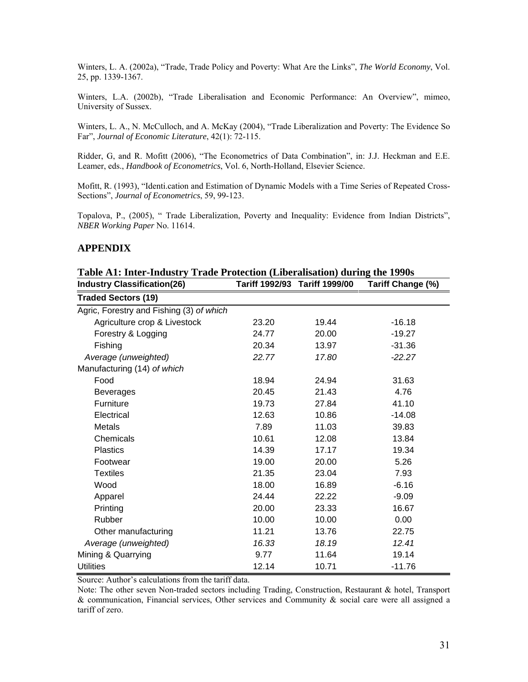Winters, L. A. (2002a), "Trade, Trade Policy and Poverty: What Are the Links", *The World Economy*, Vol. 25, pp. 1339-1367.

Winters, L.A. (2002b), "Trade Liberalisation and Economic Performance: An Overview", mimeo, University of Sussex.

Winters, L. A., N. McCulloch, and A. McKay (2004), "Trade Liberalization and Poverty: The Evidence So Far", *Journal of Economic Literature*, 42(1): 72-115.

Ridder, G, and R. Mofitt (2006), "The Econometrics of Data Combination", in: J.J. Heckman and E.E. Leamer, eds., *Handbook of Econometrics*, Vol. 6, North-Holland, Elsevier Science.

Mofitt, R. (1993), "Identi.cation and Estimation of Dynamic Models with a Time Series of Repeated Cross-Sections", *Journal of Econometrics*, 59, 99-123.

Topalova, P., (2005), " Trade Liberalization, Poverty and Inequality: Evidence from Indian Districts", *NBER Working Paper* No. 11614.

### **APPENDIX**

| Table AT: Inter-Industry Trade Frotection (Liberalisation) during the 1990s<br><b>Industry Classification(26)</b> |       | Tariff 1992/93 Tariff 1999/00 | Tariff Change (%) |
|-------------------------------------------------------------------------------------------------------------------|-------|-------------------------------|-------------------|
| <b>Traded Sectors (19)</b>                                                                                        |       |                               |                   |
| Agric, Forestry and Fishing (3) of which                                                                          |       |                               |                   |
| Agriculture crop & Livestock                                                                                      | 23.20 | 19.44                         | $-16.18$          |
| Forestry & Logging                                                                                                | 24.77 | 20.00                         | $-19.27$          |
| Fishing                                                                                                           | 20.34 | 13.97                         | $-31.36$          |
| Average (unweighted)                                                                                              | 22.77 | 17.80                         | $-22.27$          |
| Manufacturing (14) of which                                                                                       |       |                               |                   |
| Food                                                                                                              | 18.94 | 24.94                         | 31.63             |
| <b>Beverages</b>                                                                                                  | 20.45 | 21.43                         | 4.76              |
| Furniture                                                                                                         | 19.73 | 27.84                         | 41.10             |
| Electrical                                                                                                        | 12.63 | 10.86                         | $-14.08$          |
| Metals                                                                                                            | 7.89  | 11.03                         | 39.83             |
| Chemicals                                                                                                         | 10.61 | 12.08                         | 13.84             |
| <b>Plastics</b>                                                                                                   | 14.39 | 17.17                         | 19.34             |
| Footwear                                                                                                          | 19.00 | 20.00                         | 5.26              |
| <b>Textiles</b>                                                                                                   | 21.35 | 23.04                         | 7.93              |
| Wood                                                                                                              | 18.00 | 16.89                         | $-6.16$           |
| Apparel                                                                                                           | 24.44 | 22.22                         | $-9.09$           |
| Printing                                                                                                          | 20.00 | 23.33                         | 16.67             |
| Rubber                                                                                                            | 10.00 | 10.00                         | 0.00              |
| Other manufacturing                                                                                               | 11.21 | 13.76                         | 22.75             |
| Average (unweighted)                                                                                              | 16.33 | 18.19                         | 12.41             |
| Mining & Quarrying                                                                                                | 9.77  | 11.64                         | 19.14             |
| <b>Utilities</b>                                                                                                  | 12.14 | 10.71                         | $-11.76$          |

**Table A1: Inter-Industry Trade Protection (Liberalisation) during the 1990s** 

Source: Author's calculations from the tariff data.

Note: The other seven Non-traded sectors including Trading, Construction, Restaurant & hotel, Transport  $\&$  communication, Financial services, Other services and Community  $\&$  social care were all assigned a tariff of zero.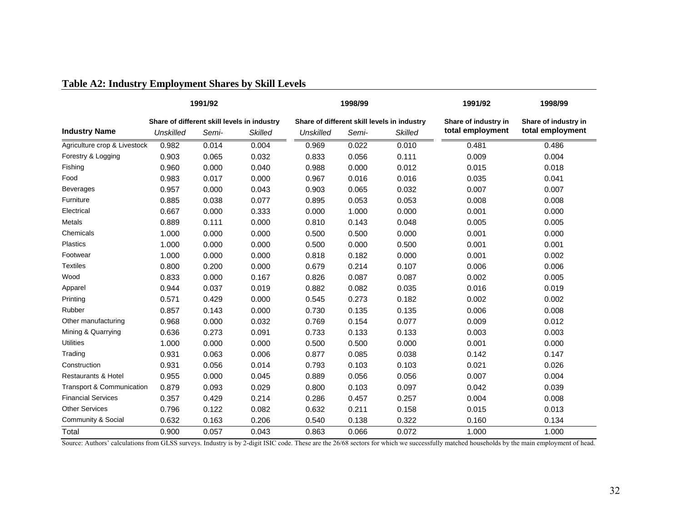| Table A2: Industry Employment Shares by Skill Levels |
|------------------------------------------------------|
|------------------------------------------------------|

|                                      |                                             | 1991/92 |                | 1998/99                                     |       |                | 1991/92              | 1998/99              |
|--------------------------------------|---------------------------------------------|---------|----------------|---------------------------------------------|-------|----------------|----------------------|----------------------|
|                                      | Share of different skill levels in industry |         |                | Share of different skill levels in industry |       |                | Share of industry in | Share of industry in |
| <b>Industry Name</b>                 | <b>Unskilled</b>                            | Semi-   | <b>Skilled</b> | <b>Unskilled</b>                            | Semi- | <b>Skilled</b> | total employment     | total employment     |
| Agriculture crop & Livestock         | 0.982                                       | 0.014   | 0.004          | 0.969                                       | 0.022 | 0.010          | 0.481                | 0.486                |
| Forestry & Logging                   | 0.903                                       | 0.065   | 0.032          | 0.833                                       | 0.056 | 0.111          | 0.009                | 0.004                |
| Fishing                              | 0.960                                       | 0.000   | 0.040          | 0.988                                       | 0.000 | 0.012          | 0.015                | 0.018                |
| Food                                 | 0.983                                       | 0.017   | 0.000          | 0.967                                       | 0.016 | 0.016          | 0.035                | 0.041                |
| Beverages                            | 0.957                                       | 0.000   | 0.043          | 0.903                                       | 0.065 | 0.032          | 0.007                | 0.007                |
| Furniture                            | 0.885                                       | 0.038   | 0.077          | 0.895                                       | 0.053 | 0.053          | 0.008                | 0.008                |
| Electrical                           | 0.667                                       | 0.000   | 0.333          | 0.000                                       | 1.000 | 0.000          | 0.001                | 0.000                |
| Metals                               | 0.889                                       | 0.111   | 0.000          | 0.810                                       | 0.143 | 0.048          | 0.005                | 0.005                |
| Chemicals                            | 1.000                                       | 0.000   | 0.000          | 0.500                                       | 0.500 | 0.000          | 0.001                | 0.000                |
| <b>Plastics</b>                      | 1.000                                       | 0.000   | 0.000          | 0.500                                       | 0.000 | 0.500          | 0.001                | 0.001                |
| Footwear                             | 1.000                                       | 0.000   | 0.000          | 0.818                                       | 0.182 | 0.000          | 0.001                | 0.002                |
| <b>Textiles</b>                      | 0.800                                       | 0.200   | 0.000          | 0.679                                       | 0.214 | 0.107          | 0.006                | 0.006                |
| Wood                                 | 0.833                                       | 0.000   | 0.167          | 0.826                                       | 0.087 | 0.087          | 0.002                | 0.005                |
| Apparel                              | 0.944                                       | 0.037   | 0.019          | 0.882                                       | 0.082 | 0.035          | 0.016                | 0.019                |
| Printing                             | 0.571                                       | 0.429   | 0.000          | 0.545                                       | 0.273 | 0.182          | 0.002                | 0.002                |
| Rubber                               | 0.857                                       | 0.143   | 0.000          | 0.730                                       | 0.135 | 0.135          | 0.006                | 0.008                |
| Other manufacturing                  | 0.968                                       | 0.000   | 0.032          | 0.769                                       | 0.154 | 0.077          | 0.009                | 0.012                |
| Mining & Quarrying                   | 0.636                                       | 0.273   | 0.091          | 0.733                                       | 0.133 | 0.133          | 0.003                | 0.003                |
| <b>Utilities</b>                     | 1.000                                       | 0.000   | 0.000          | 0.500                                       | 0.500 | 0.000          | 0.001                | 0.000                |
| Trading                              | 0.931                                       | 0.063   | 0.006          | 0.877                                       | 0.085 | 0.038          | 0.142                | 0.147                |
| Construction                         | 0.931                                       | 0.056   | 0.014          | 0.793                                       | 0.103 | 0.103          | 0.021                | 0.026                |
| <b>Restaurants &amp; Hotel</b>       | 0.955                                       | 0.000   | 0.045          | 0.889                                       | 0.056 | 0.056          | 0.007                | 0.004                |
| <b>Transport &amp; Communication</b> | 0.879                                       | 0.093   | 0.029          | 0.800                                       | 0.103 | 0.097          | 0.042                | 0.039                |
| <b>Financial Services</b>            | 0.357                                       | 0.429   | 0.214          | 0.286                                       | 0.457 | 0.257          | 0.004                | 0.008                |
| <b>Other Services</b>                | 0.796                                       | 0.122   | 0.082          | 0.632                                       | 0.211 | 0.158          | 0.015                | 0.013                |
| Community & Social                   | 0.632                                       | 0.163   | 0.206          | 0.540                                       | 0.138 | 0.322          | 0.160                | 0.134                |
| Total                                | 0.900                                       | 0.057   | 0.043          | 0.863                                       | 0.066 | 0.072          | 1.000                | 1.000                |

Source: Authors' calculations from GLSS surveys. Industry is by 2-digit ISIC code. These are the 26/68 sectors for which we successfully matched households by the main employment of head.